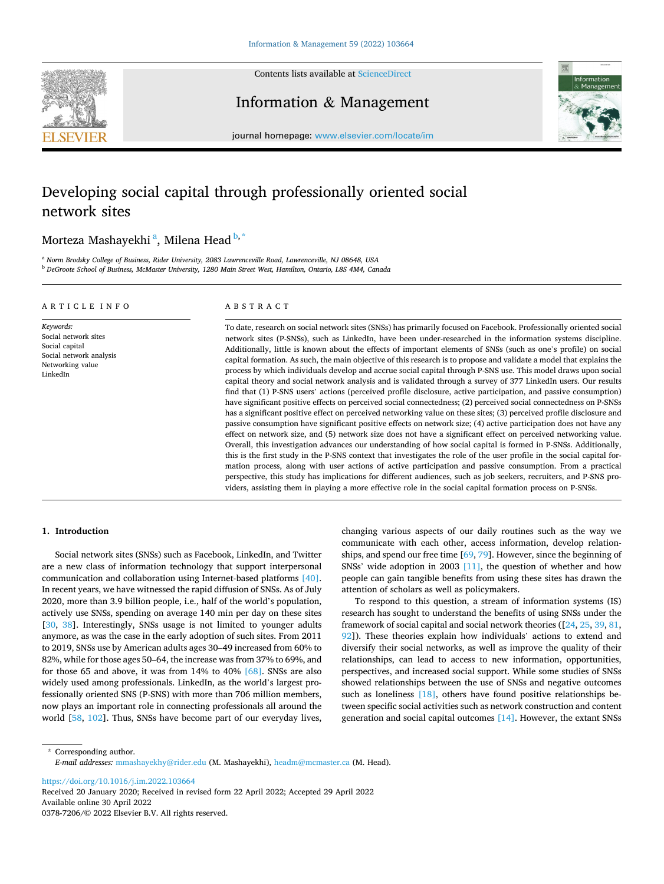

Contents lists available at [ScienceDirect](www.sciencedirect.com/science/journal/03787206)

Information & Management



journal homepage: [www.elsevier.com/locate/im](https://www.elsevier.com/locate/im)

# Developing social capital through professionally oriented social network sites

## Morteza Mashayekhi <sup>a</sup>, Milena Head <sup>b,\*</sup>

<sup>a</sup> *Norm Brodsky College of Business, Rider University, 2083 Lawrenceville Road, Lawrenceville, NJ 08648, USA* <sup>b</sup> *DeGroote School of Business, McMaster University, 1280 Main Street West, Hamilton, Ontario, L8S 4M4, Canada* 

#### ARTICLE INFO

*Keywords:*  Social network sites Social capital Social network analysis Networking value LinkedIn

## ABSTRACT

To date, research on social network sites (SNSs) has primarily focused on Facebook. Professionally oriented social network sites (P-SNSs), such as LinkedIn, have been under-researched in the information systems discipline. Additionally, little is known about the effects of important elements of SNSs (such as one's profile) on social capital formation. As such, the main objective of this research is to propose and validate a model that explains the process by which individuals develop and accrue social capital through P-SNS use. This model draws upon social capital theory and social network analysis and is validated through a survey of 377 LinkedIn users. Our results find that (1) P-SNS users' actions (perceived profile disclosure, active participation, and passive consumption) have significant positive effects on perceived social connectedness; (2) perceived social connectedness on P-SNSs has a significant positive effect on perceived networking value on these sites; (3) perceived profile disclosure and passive consumption have significant positive effects on network size; (4) active participation does not have any effect on network size, and (5) network size does not have a significant effect on perceived networking value. Overall, this investigation advances our understanding of how social capital is formed in P-SNSs. Additionally, this is the first study in the P-SNS context that investigates the role of the user profile in the social capital formation process, along with user actions of active participation and passive consumption. From a practical perspective, this study has implications for different audiences, such as job seekers, recruiters, and P-SNS providers, assisting them in playing a more effective role in the social capital formation process on P-SNSs.

## **1. Introduction**

Social network sites (SNSs) such as Facebook, LinkedIn, and Twitter are a new class of information technology that support interpersonal communication and collaboration using Internet-based platforms [\[40\]](#page-11-0). In recent years, we have witnessed the rapid diffusion of SNSs. As of July 2020, more than 3.9 billion people, i.e., half of the world's population, actively use SNSs, spending on average 140 min per day on these sites [[30,](#page-11-0) [38](#page-11-0)]. Interestingly, SNSs usage is not limited to younger adults anymore, as was the case in the early adoption of such sites. From 2011 to 2019, SNSs use by American adults ages 30–49 increased from 60% to 82%, while for those ages 50–64, the increase was from 37% to 69%, and for those 65 and above, it was from 14% to 40% [\[68\]](#page-11-0). SNSs are also widely used among professionals. LinkedIn, as the world's largest professionally oriented SNS (P-SNS) with more than 706 million members, now plays an important role in connecting professionals all around the world [[58](#page-11-0), [102](#page-12-0)]. Thus, SNSs have become part of our everyday lives,

changing various aspects of our daily routines such as the way we communicate with each other, access information, develop relationships, and spend our free time [[69, 79](#page-11-0)]. However, since the beginning of SNSs' wide adoption in 2003 [\[11\]](#page-10-0), the question of whether and how people can gain tangible benefits from using these sites has drawn the attention of scholars as well as policymakers.

To respond to this question, a stream of information systems (IS) research has sought to understand the benefits of using SNSs under the framework of social capital and social network theories ([\[24](#page-11-0), [25](#page-11-0), [39](#page-11-0), [81](#page-11-0), [92\]](#page-12-0)). These theories explain how individuals' actions to extend and diversify their social networks, as well as improve the quality of their relationships, can lead to access to new information, opportunities, perspectives, and increased social support. While some studies of SNSs showed relationships between the use of SNSs and negative outcomes such as loneliness [\[18\]](#page-11-0), others have found positive relationships between specific social activities such as network construction and content generation and social capital outcomes [\[14\].](#page-11-0) However, the extant SNSs

\* Corresponding author. *E-mail addresses:* [mmashayekhy@rider.edu](mailto:mmashayekhy@rider.edu) (M. Mashayekhi), [headm@mcmaster.ca](mailto:headm@mcmaster.ca) (M. Head).

<https://doi.org/10.1016/j.im.2022.103664>

Available online 30 April 2022 0378-7206/© 2022 Elsevier B.V. All rights reserved. Received 20 January 2020; Received in revised form 22 April 2022; Accepted 29 April 2022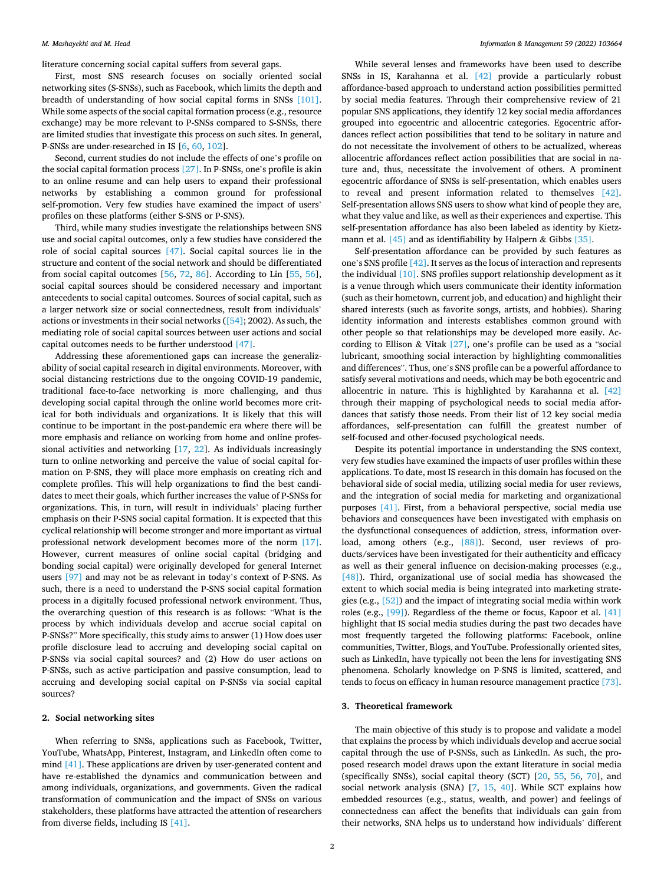literature concerning social capital suffers from several gaps.

First, most SNS research focuses on socially oriented social networking sites (S-SNSs), such as Facebook, which limits the depth and breadth of understanding of how social capital forms in SNSs [\[101\]](#page-12-0). While some aspects of the social capital formation process (e.g., resource exchange) may be more relevant to P-SNSs compared to S-SNSs, there are limited studies that investigate this process on such sites. In general, P-SNSs are under-researched in IS [\[6,](#page-10-0) [60](#page-11-0), [102](#page-12-0)].

Second, current studies do not include the effects of one's profile on the social capital formation process [\[27\].](#page-11-0) In P-SNSs, one's profile is akin to an online resume and can help users to expand their professional networks by establishing a common ground for professional self-promotion. Very few studies have examined the impact of users' profiles on these platforms (either S-SNS or P-SNS).

Third, while many studies investigate the relationships between SNS use and social capital outcomes, only a few studies have considered the role of social capital sources [\[47\]](#page-11-0). Social capital sources lie in the structure and content of the social network and should be differentiated from social capital outcomes  $[56, 72, 86]$  $[56, 72, 86]$  $[56, 72, 86]$  $[56, 72, 86]$  $[56, 72, 86]$ . According to Lin  $[55, 56]$  $[55, 56]$  $[55, 56]$  $[55, 56]$  $[55, 56]$ , social capital sources should be considered necessary and important antecedents to social capital outcomes. Sources of social capital, such as a larger network size or social connectedness, result from individuals' actions or investments in their social networks ([\[54\];](#page-11-0) 2002). As such, the mediating role of social capital sources between user actions and social capital outcomes needs to be further understood [\[47\].](#page-11-0)

Addressing these aforementioned gaps can increase the generalizability of social capital research in digital environments. Moreover, with social distancing restrictions due to the ongoing COVID-19 pandemic, traditional face-to-face networking is more challenging, and thus developing social capital through the online world becomes more critical for both individuals and organizations. It is likely that this will continue to be important in the post-pandemic era where there will be more emphasis and reliance on working from home and online professional activities and networking [[17,](#page-11-0) [22](#page-11-0)]. As individuals increasingly turn to online networking and perceive the value of social capital formation on P-SNS, they will place more emphasis on creating rich and complete profiles. This will help organizations to find the best candidates to meet their goals, which further increases the value of P-SNSs for organizations. This, in turn, will result in individuals' placing further emphasis on their P-SNS social capital formation. It is expected that this cyclical relationship will become stronger and more important as virtual professional network development becomes more of the norm [\[17\]](#page-11-0). However, current measures of online social capital (bridging and bonding social capital) were originally developed for general Internet users [\[97\]](#page-12-0) and may not be as relevant in today's context of P-SNS. As such, there is a need to understand the P-SNS social capital formation process in a digitally focused professional network environment. Thus, the overarching question of this research is as follows: "What is the process by which individuals develop and accrue social capital on P-SNSs?" More specifically, this study aims to answer (1) How does user profile disclosure lead to accruing and developing social capital on P-SNSs via social capital sources? and (2) How do user actions on P-SNSs, such as active participation and passive consumption, lead to accruing and developing social capital on P-SNSs via social capital sources?

#### **2. Social networking sites**

When referring to SNSs, applications such as Facebook, Twitter, YouTube, WhatsApp, Pinterest, Instagram, and LinkedIn often come to mind [\[41\].](#page-11-0) These applications are driven by user-generated content and have re-established the dynamics and communication between and among individuals, organizations, and governments. Given the radical transformation of communication and the impact of SNSs on various stakeholders, these platforms have attracted the attention of researchers from diverse fields, including IS [\[41\]](#page-11-0).

While several lenses and frameworks have been used to describe SNSs in IS, Karahanna et al. [\[42\]](#page-11-0) provide a particularly robust affordance-based approach to understand action possibilities permitted by social media features. Through their comprehensive review of 21 popular SNS applications, they identify 12 key social media affordances grouped into egocentric and allocentric categories. Egocentric affordances reflect action possibilities that tend to be solitary in nature and do not necessitate the involvement of others to be actualized, whereas allocentric affordances reflect action possibilities that are social in nature and, thus, necessitate the involvement of others. A prominent egocentric affordance of SNSs is self-presentation, which enables users to reveal and present information related to themselves [\[42\]](#page-11-0). Self-presentation allows SNS users to show what kind of people they are, what they value and like, as well as their experiences and expertise. This self-presentation affordance has also been labeled as identity by Kietz-mann et al. [\[45\]](#page-11-0) and as identifiability by Halpern & Gibbs [\[35\].](#page-11-0)

Self-presentation affordance can be provided by such features as one's SNS profile [\[42\]](#page-11-0). It serves as the locus of interaction and represents the individual [\[10\].](#page-10-0) SNS profiles support relationship development as it is a venue through which users communicate their identity information (such as their hometown, current job, and education) and highlight their shared interests (such as favorite songs, artists, and hobbies). Sharing identity information and interests establishes common ground with other people so that relationships may be developed more easily. According to Ellison & Vitak [\[27\]](#page-11-0), one's profile can be used as a "social lubricant, smoothing social interaction by highlighting commonalities and differences". Thus, one's SNS profile can be a powerful affordance to satisfy several motivations and needs, which may be both egocentric and allocentric in nature. This is highlighted by Karahanna et al. [\[42\]](#page-11-0)  through their mapping of psychological needs to social media affordances that satisfy those needs. From their list of 12 key social media affordances, self-presentation can fulfill the greatest number of self-focused and other-focused psychological needs.

Despite its potential importance in understanding the SNS context, very few studies have examined the impacts of user profiles within these applications. To date, most IS research in this domain has focused on the behavioral side of social media, utilizing social media for user reviews, and the integration of social media for marketing and organizational purposes [\[41\].](#page-11-0) First, from a behavioral perspective, social media use behaviors and consequences have been investigated with emphasis on the dysfunctional consequences of addiction, stress, information over-load, among others (e.g., [\[88\]](#page-12-0)). Second, user reviews of products/services have been investigated for their authenticity and efficacy as well as their general influence on decision-making processes (e.g., [\[48\]](#page-11-0)). Third, organizational use of social media has showcased the extent to which social media is being integrated into marketing strategies (e.g., [\[52\]](#page-11-0)) and the impact of integrating social media within work roles (e.g., [\[99\]\)](#page-12-0). Regardless of the theme or focus, Kapoor et al. [\[41\]](#page-11-0)  highlight that IS social media studies during the past two decades have most frequently targeted the following platforms: Facebook, online communities, Twitter, Blogs, and YouTube. Professionally oriented sites, such as LinkedIn, have typically not been the lens for investigating SNS phenomena. Scholarly knowledge on P-SNS is limited, scattered, and tends to focus on efficacy in human resource management practice [\[73\]](#page-11-0).

## **3. Theoretical framework**

The main objective of this study is to propose and validate a model that explains the process by which individuals develop and accrue social capital through the use of P-SNSs, such as LinkedIn. As such, the proposed research model draws upon the extant literature in social media (specifically SNSs), social capital theory (SCT) [\[20](#page-11-0), [55](#page-11-0), [56,](#page-11-0) [70\]](#page-11-0), and social network analysis (SNA) [[7](#page-10-0), [15](#page-11-0), [40](#page-11-0)]. While SCT explains how embedded resources (e.g., status, wealth, and power) and feelings of connectedness can affect the benefits that individuals can gain from their networks, SNA helps us to understand how individuals' different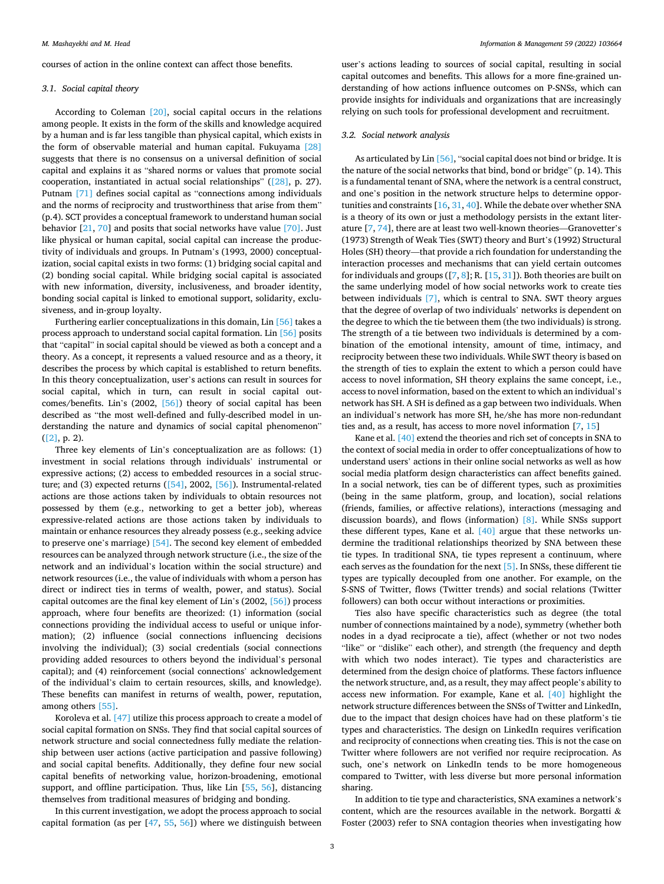courses of action in the online context can affect those benefits.

#### *3.1. Social capital theory*

According to Coleman [\[20\],](#page-11-0) social capital occurs in the relations among people. It exists in the form of the skills and knowledge acquired by a human and is far less tangible than physical capital, which exists in the form of observable material and human capital. Fukuyama [\[28\]](#page-11-0)  suggests that there is no consensus on a universal definition of social capital and explains it as "shared norms or values that promote social cooperation, instantiated in actual social relationships" [\(\[28\],](#page-11-0) p. 27). Putnam [\[71\]](#page-11-0) defines social capital as "connections among individuals and the norms of reciprocity and trustworthiness that arise from them" (p.4). SCT provides a conceptual framework to understand human social behavior  $[21, 70]$  $[21, 70]$  $[21, 70]$  and posits that social networks have value  $[70]$ . Just like physical or human capital, social capital can increase the productivity of individuals and groups. In Putnam's (1993, 2000) conceptualization, social capital exists in two forms: (1) bridging social capital and (2) bonding social capital. While bridging social capital is associated with new information, diversity, inclusiveness, and broader identity, bonding social capital is linked to emotional support, solidarity, exclusiveness, and in-group loyalty.

Furthering earlier conceptualizations in this domain, Lin [\[56\]](#page-11-0) takes a process approach to understand social capital formation. Lin [\[56\]](#page-11-0) posits that "capital" in social capital should be viewed as both a concept and a theory. As a concept, it represents a valued resource and as a theory, it describes the process by which capital is established to return benefits. In this theory conceptualization, user's actions can result in sources for social capital, which in turn, can result in social capital outcomes/benefits. Lin's (2002, [\[56\]\)](#page-11-0) theory of social capital has been described as "the most well-defined and fully-described model in understanding the nature and dynamics of social capital phenomenon" ([\[2\],](#page-10-0) p. 2).

Three key elements of Lin's conceptualization are as follows: (1) investment in social relations through individuals' instrumental or expressive actions; (2) access to embedded resources in a social structure; and (3) expected returns ([\[54\]](#page-11-0), 2002, [\[56\]\)](#page-11-0). Instrumental-related actions are those actions taken by individuals to obtain resources not possessed by them (e.g., networking to get a better job), whereas expressive-related actions are those actions taken by individuals to maintain or enhance resources they already possess (e.g., seeking advice to preserve one's marriage) [\[54\]](#page-11-0). The second key element of embedded resources can be analyzed through network structure (i.e., the size of the network and an individual's location within the social structure) and network resources (i.e., the value of individuals with whom a person has direct or indirect ties in terms of wealth, power, and status). Social capital outcomes are the final key element of Lin's (2002, [\[56\]\)](#page-11-0) process approach, where four benefits are theorized: (1) information (social connections providing the individual access to useful or unique information); (2) influence (social connections influencing decisions involving the individual); (3) social credentials (social connections providing added resources to others beyond the individual's personal capital); and (4) reinforcement (social connections' acknowledgement of the individual's claim to certain resources, skills, and knowledge). These benefits can manifest in returns of wealth, power, reputation, among others [\[55\].](#page-11-0)

Koroleva et al. [\[47\]](#page-11-0) utilize this process approach to create a model of social capital formation on SNSs. They find that social capital sources of network structure and social connectedness fully mediate the relationship between user actions (active participation and passive following) and social capital benefits. Additionally, they define four new social capital benefits of networking value, horizon-broadening, emotional support, and offline participation. Thus, like Lin [\[55](#page-11-0), [56\]](#page-11-0), distancing themselves from traditional measures of bridging and bonding.

In this current investigation, we adopt the process approach to social capital formation (as per [\[47](#page-11-0), [55](#page-11-0), [56](#page-11-0)]) where we distinguish between

user's actions leading to sources of social capital, resulting in social capital outcomes and benefits. This allows for a more fine-grained understanding of how actions influence outcomes on P-SNSs, which can provide insights for individuals and organizations that are increasingly relying on such tools for professional development and recruitment.

## *3.2. Social network analysis*

As articulated by Lin [\[56\]](#page-11-0), "social capital does not bind or bridge. It is the nature of the social networks that bind, bond or bridge" (p. 14). This is a fundamental tenant of SNA, where the network is a central construct, and one's position in the network structure helps to determine opportunities and constraints [[16, 31](#page-11-0), [40](#page-11-0)]. While the debate over whether SNA is a theory of its own or just a methodology persists in the extant literature [\[7,](#page-10-0) [74\]](#page-11-0), there are at least two well-known theories—Granovetter's (1973) Strength of Weak Ties (SWT) theory and Burt's (1992) Structural Holes (SH) theory—that provide a rich foundation for understanding the interaction processes and mechanisms that can yield certain outcomes for individuals and groups  $([7, 8]; R. [15, 31])$  $([7, 8]; R. [15, 31])$  $([7, 8]; R. [15, 31])$  $([7, 8]; R. [15, 31])$  $([7, 8]; R. [15, 31])$  $([7, 8]; R. [15, 31])$  $([7, 8]; R. [15, 31])$  $([7, 8]; R. [15, 31])$  $([7, 8]; R. [15, 31])$ . Both theories are built on the same underlying model of how social networks work to create ties between individuals [\[7\],](#page-10-0) which is central to SNA. SWT theory argues that the degree of overlap of two individuals' networks is dependent on the degree to which the tie between them (the two individuals) is strong. The strength of a tie between two individuals is determined by a combination of the emotional intensity, amount of time, intimacy, and reciprocity between these two individuals. While SWT theory is based on the strength of ties to explain the extent to which a person could have access to novel information, SH theory explains the same concept, i.e., access to novel information, based on the extent to which an individual's network has SH. A SH is defined as a gap between two individuals. When an individual's network has more SH, he/she has more non-redundant ties and, as a result, has access to more novel information [[7](#page-10-0), [15](#page-11-0)]

Kane et al. [\[40\]](#page-11-0) extend the theories and rich set of concepts in SNA to the context of social media in order to offer conceptualizations of how to understand users' actions in their online social networks as well as how social media platform design characteristics can affect benefits gained. In a social network, ties can be of different types, such as proximities (being in the same platform, group, and location), social relations (friends, families, or affective relations), interactions (messaging and discussion boards), and flows (information) [\[8\]](#page-10-0). While SNSs support these different types, Kane et al. [\[40\]](#page-11-0) argue that these networks undermine the traditional relationships theorized by SNA between these tie types. In traditional SNA, tie types represent a continuum, where each serves as the foundation for the next [\[5\].](#page-10-0) In SNSs, these different tie types are typically decoupled from one another. For example, on the S-SNS of Twitter, flows (Twitter trends) and social relations (Twitter followers) can both occur without interactions or proximities.

Ties also have specific characteristics such as degree (the total number of connections maintained by a node), symmetry (whether both nodes in a dyad reciprocate a tie), affect (whether or not two nodes "like" or "dislike" each other), and strength (the frequency and depth with which two nodes interact). Tie types and characteristics are determined from the design choice of platforms. These factors influence the network structure, and, as a result, they may affect people's ability to access new information. For example, Kane et al. [\[40\]](#page-11-0) highlight the network structure differences between the SNSs of Twitter and LinkedIn, due to the impact that design choices have had on these platform's tie types and characteristics. The design on LinkedIn requires verification and reciprocity of connections when creating ties. This is not the case on Twitter where followers are not verified nor require reciprocation. As such, one's network on LinkedIn tends to be more homogeneous compared to Twitter, with less diverse but more personal information sharing.

In addition to tie type and characteristics, SNA examines a network's content, which are the resources available in the network. Borgatti  $\&$ Foster (2003) refer to SNA contagion theories when investigating how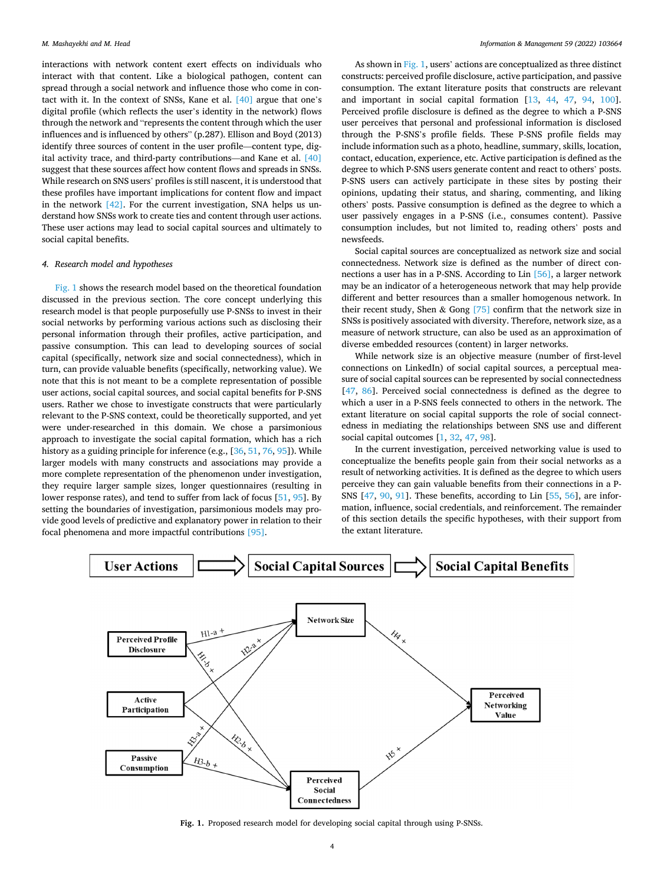interactions with network content exert effects on individuals who interact with that content. Like a biological pathogen, content can spread through a social network and influence those who come in contact with it. In the context of SNSs, Kane et al. [\[40\]](#page-11-0) argue that one's digital profile (which reflects the user's identity in the network) flows through the network and "represents the content through which the user influences and is influenced by others" (p.287). Ellison and Boyd (2013) identify three sources of content in the user profile—content type, digital activity trace, and third-party contributions—and Kane et al. [\[40\]](#page-11-0)  suggest that these sources affect how content flows and spreads in SNSs. While research on SNS users' profiles is still nascent, it is understood that these profiles have important implications for content flow and impact in the network  $[42]$ . For the current investigation, SNA helps us understand how SNSs work to create ties and content through user actions. These user actions may lead to social capital sources and ultimately to social capital benefits.

#### *4. Research model and hypotheses*

Fig. 1 shows the research model based on the theoretical foundation discussed in the previous section. The core concept underlying this research model is that people purposefully use P-SNSs to invest in their social networks by performing various actions such as disclosing their personal information through their profiles, active participation, and passive consumption. This can lead to developing sources of social capital (specifically, network size and social connectedness), which in turn, can provide valuable benefits (specifically, networking value). We note that this is not meant to be a complete representation of possible user actions, social capital sources, and social capital benefits for P-SNS users. Rather we chose to investigate constructs that were particularly relevant to the P-SNS context, could be theoretically supported, and yet were under-researched in this domain. We chose a parsimonious approach to investigate the social capital formation, which has a rich history as a guiding principle for inference (e.g., [[36, 51, 76,](#page-11-0) [95\]](#page-12-0)). While larger models with many constructs and associations may provide a more complete representation of the phenomenon under investigation, they require larger sample sizes, longer questionnaires (resulting in lower response rates), and tend to suffer from lack of focus [[51,](#page-11-0) [95\]](#page-12-0). By setting the boundaries of investigation, parsimonious models may provide good levels of predictive and explanatory power in relation to their focal phenomena and more impactful contributions [\[95\].](#page-12-0)

As shown in Fig. 1, users' actions are conceptualized as three distinct constructs: perceived profile disclosure, active participation, and passive consumption. The extant literature posits that constructs are relevant and important in social capital formation [[13,](#page-11-0) [44,](#page-11-0) [47](#page-11-0), [94](#page-12-0), [100](#page-12-0)]. Perceived profile disclosure is defined as the degree to which a P-SNS user perceives that personal and professional information is disclosed through the P-SNS's profile fields. These P-SNS profile fields may include information such as a photo, headline, summary, skills, location, contact, education, experience, etc. Active participation is defined as the degree to which P-SNS users generate content and react to others' posts. P-SNS users can actively participate in these sites by posting their opinions, updating their status, and sharing, commenting, and liking others' posts. Passive consumption is defined as the degree to which a user passively engages in a P-SNS (i.e., consumes content). Passive consumption includes, but not limited to, reading others' posts and newsfeeds.

Social capital sources are conceptualized as network size and social connectedness. Network size is defined as the number of direct connections a user has in a P-SNS. According to Lin [\[56\]](#page-11-0), a larger network may be an indicator of a heterogeneous network that may help provide different and better resources than a smaller homogenous network. In their recent study, Shen & Gong  $[75]$  confirm that the network size in SNSs is positively associated with diversity. Therefore, network size, as a measure of network structure, can also be used as an approximation of diverse embedded resources (content) in larger networks.

While network size is an objective measure (number of first-level connections on LinkedIn) of social capital sources, a perceptual measure of social capital sources can be represented by social connectedness [[47,](#page-11-0) [86\]](#page-12-0). Perceived social connectedness is defined as the degree to which a user in a P-SNS feels connected to others in the network. The extant literature on social capital supports the role of social connectedness in mediating the relationships between SNS use and different social capital outcomes [\[1,](#page-10-0) [32, 47](#page-11-0), [98\]](#page-12-0).

In the current investigation, perceived networking value is used to conceptualize the benefits people gain from their social networks as a result of networking activities. It is defined as the degree to which users perceive they can gain valuable benefits from their connections in a P-SNS [[47,](#page-11-0) [90,](#page-12-0) [91\]](#page-12-0). These benefits, according to Lin [[55,](#page-11-0) [56\]](#page-11-0), are information, influence, social credentials, and reinforcement. The remainder of this section details the specific hypotheses, with their support from the extant literature.



**Fig. 1.** Proposed research model for developing social capital through using P-SNSs.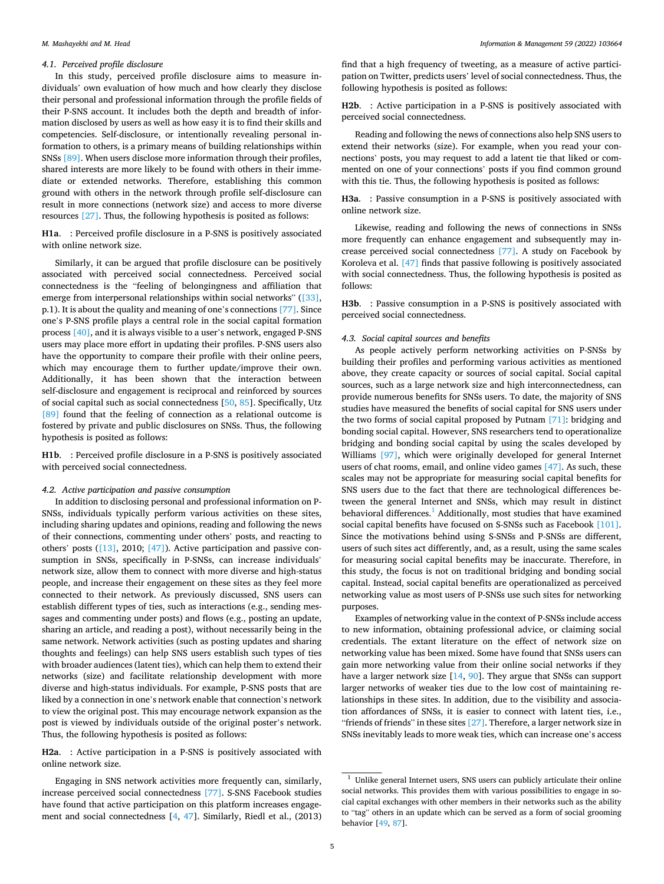#### *M. Mashayekhi and M. Head*

#### *4.1. Perceived profile disclosure*

In this study, perceived profile disclosure aims to measure individuals' own evaluation of how much and how clearly they disclose their personal and professional information through the profile fields of their P-SNS account. It includes both the depth and breadth of information disclosed by users as well as how easy it is to find their skills and competencies. Self-disclosure, or intentionally revealing personal information to others, is a primary means of building relationships within SNSs [\[89\]](#page-12-0). When users disclose more information through their profiles, shared interests are more likely to be found with others in their immediate or extended networks. Therefore, establishing this common ground with others in the network through profile self-disclosure can result in more connections (network size) and access to more diverse resources [\[27\].](#page-11-0) Thus, the following hypothesis is posited as follows:

**H1a**. : Perceived profile disclosure in a P-SNS is positively associated with online network size.

Similarly, it can be argued that profile disclosure can be positively associated with perceived social connectedness. Perceived social connectedness is the "feeling of belongingness and affiliation that emerge from interpersonal relationships within social networks" ([\[33\]](#page-11-0), p.1). It is about the quality and meaning of one's connections [\[77\]](#page-11-0). Since one's P-SNS profile plays a central role in the social capital formation process [\[40\]](#page-11-0), and it is always visible to a user's network, engaged P-SNS users may place more effort in updating their profiles. P-SNS users also have the opportunity to compare their profile with their online peers, which may encourage them to further update/improve their own. Additionally, it has been shown that the interaction between self-disclosure and engagement is reciprocal and reinforced by sources of social capital such as social connectedness [\[50](#page-11-0), [85\]](#page-12-0). Specifically, Utz [\[89\]](#page-12-0) found that the feeling of connection as a relational outcome is fostered by private and public disclosures on SNSs. Thus, the following hypothesis is posited as follows:

**H1b**. : Perceived profile disclosure in a P-SNS is positively associated with perceived social connectedness.

## *4.2. Active participation and passive consumption*

In addition to disclosing personal and professional information on P-SNSs, individuals typically perform various activities on these sites, including sharing updates and opinions, reading and following the news of their connections, commenting under others' posts, and reacting to others' posts ([\[13\]](#page-11-0), 2010; [\[47\]](#page-11-0)). Active participation and passive consumption in SNSs, specifically in P-SNSs, can increase individuals' network size, allow them to connect with more diverse and high-status people, and increase their engagement on these sites as they feel more connected to their network. As previously discussed, SNS users can establish different types of ties, such as interactions (e.g., sending messages and commenting under posts) and flows (e.g., posting an update, sharing an article, and reading a post), without necessarily being in the same network. Network activities (such as posting updates and sharing thoughts and feelings) can help SNS users establish such types of ties with broader audiences (latent ties), which can help them to extend their networks (size) and facilitate relationship development with more diverse and high-status individuals. For example, P-SNS posts that are liked by a connection in one's network enable that connection's network to view the original post. This may encourage network expansion as the post is viewed by individuals outside of the original poster's network. Thus, the following hypothesis is posited as follows:

**H2a**. : Active participation in a P-SNS is positively associated with online network size.

Engaging in SNS network activities more frequently can, similarly, increase perceived social connectedness [\[77\].](#page-11-0) S-SNS Facebook studies have found that active participation on this platform increases engagement and social connectedness [[4](#page-10-0), [47\]](#page-11-0). Similarly, Riedl et al., (2013)

find that a high frequency of tweeting, as a measure of active participation on Twitter, predicts users' level of social connectedness. Thus, the following hypothesis is posited as follows:

**H2b**. : Active participation in a P-SNS is positively associated with perceived social connectedness.

Reading and following the news of connections also help SNS users to extend their networks (size). For example, when you read your connections' posts, you may request to add a latent tie that liked or commented on one of your connections' posts if you find common ground with this tie. Thus, the following hypothesis is posited as follows:

**H3a**. : Passive consumption in a P-SNS is positively associated with online network size.

Likewise, reading and following the news of connections in SNSs more frequently can enhance engagement and subsequently may increase perceived social connectedness [\[77\].](#page-11-0) A study on Facebook by Koroleva et al. [\[47\]](#page-11-0) finds that passive following is positively associated with social connectedness. Thus, the following hypothesis is posited as follows:

**H3b**. : Passive consumption in a P-SNS is positively associated with perceived social connectedness.

## *4.3. Social capital sources and benefits*

As people actively perform networking activities on P-SNSs by building their profiles and performing various activities as mentioned above, they create capacity or sources of social capital. Social capital sources, such as a large network size and high interconnectedness, can provide numerous benefits for SNSs users. To date, the majority of SNS studies have measured the benefits of social capital for SNS users under the two forms of social capital proposed by Putnam [\[71\]:](#page-11-0) bridging and bonding social capital. However, SNS researchers tend to operationalize bridging and bonding social capital by using the scales developed by Williams [\[97\],](#page-12-0) which were originally developed for general Internet users of chat rooms, email, and online video games [\[47\].](#page-11-0) As such, these scales may not be appropriate for measuring social capital benefits for SNS users due to the fact that there are technological differences between the general Internet and SNSs, which may result in distinct behavioral differences.<sup>1</sup> Additionally, most studies that have examined social capital benefits have focused on S-SNSs such as Facebook [\[101\]](#page-12-0). Since the motivations behind using S-SNSs and P-SNSs are different, users of such sites act differently, and, as a result, using the same scales for measuring social capital benefits may be inaccurate. Therefore, in this study, the focus is not on traditional bridging and bonding social capital. Instead, social capital benefits are operationalized as perceived networking value as most users of P-SNSs use such sites for networking purposes.

Examples of networking value in the context of P-SNSs include access to new information, obtaining professional advice, or claiming social credentials. The extant literature on the effect of network size on networking value has been mixed. Some have found that SNSs users can gain more networking value from their online social networks if they have a larger network size [\[14](#page-11-0), [90](#page-12-0)]. They argue that SNSs can support larger networks of weaker ties due to the low cost of maintaining relationships in these sites. In addition, due to the visibility and association affordances of SNSs, it is easier to connect with latent ties, i.e., "friends of friends" in these sites [\[27\]](#page-11-0). Therefore, a larger network size in SNSs inevitably leads to more weak ties, which can increase one's access

 $^{\rm 1}$  Unlike general Internet users, SNS users can publicly articulate their online social networks. This provides them with various possibilities to engage in social capital exchanges with other members in their networks such as the ability to "tag" others in an update which can be served as a form of social grooming behavior [[49](#page-11-0), [87\]](#page-12-0).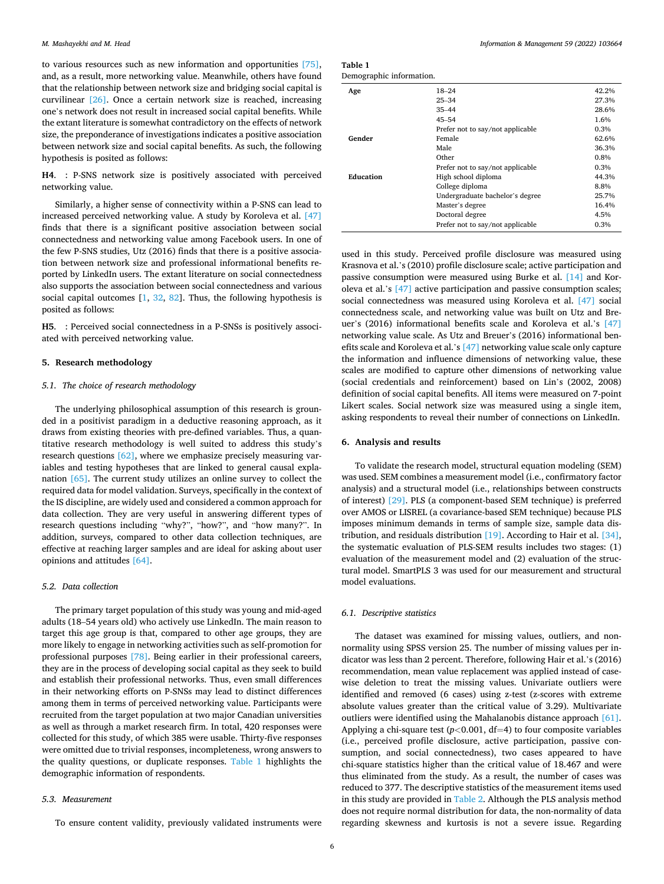to various resources such as new information and opportunities [\[75\]](#page-11-0), and, as a result, more networking value. Meanwhile, others have found that the relationship between network size and bridging social capital is curvilinear [\[26\].](#page-11-0) Once a certain network size is reached, increasing one's network does not result in increased social capital benefits. While the extant literature is somewhat contradictory on the effects of network size, the preponderance of investigations indicates a positive association between network size and social capital benefits. As such, the following hypothesis is posited as follows:

**H4**. : P-SNS network size is positively associated with perceived networking value.

Similarly, a higher sense of connectivity within a P-SNS can lead to increased perceived networking value. A study by Koroleva et al. [\[47\]](#page-11-0)  finds that there is a significant positive association between social connectedness and networking value among Facebook users. In one of the few P-SNS studies, Utz (2016) finds that there is a positive association between network size and professional informational benefits reported by LinkedIn users. The extant literature on social connectedness also supports the association between social connectedness and various social capital outcomes [[1](#page-10-0), [32](#page-11-0), [82\]](#page-12-0). Thus, the following hypothesis is posited as follows:

**H5**. : Perceived social connectedness in a P-SNSs is positively associated with perceived networking value.

## **5. Research methodology**

## *5.1. The choice of research methodology*

The underlying philosophical assumption of this research is grounded in a positivist paradigm in a deductive reasoning approach, as it draws from existing theories with pre-defined variables. Thus, a quantitative research methodology is well suited to address this study's research questions [\[62\],](#page-11-0) where we emphasize precisely measuring variables and testing hypotheses that are linked to general causal explanation [\[65\].](#page-11-0) The current study utilizes an online survey to collect the required data for model validation. Surveys, specifically in the context of the IS discipline, are widely used and considered a common approach for data collection. They are very useful in answering different types of research questions including "why?", "how?", and "how many?". In addition, surveys, compared to other data collection techniques, are effective at reaching larger samples and are ideal for asking about user opinions and attitudes [\[64\]](#page-11-0).

## *5.2. Data collection*

The primary target population of this study was young and mid-aged adults (18–54 years old) who actively use LinkedIn. The main reason to target this age group is that, compared to other age groups, they are more likely to engage in networking activities such as self-promotion for professional purposes [\[78\].](#page-11-0) Being earlier in their professional careers, they are in the process of developing social capital as they seek to build and establish their professional networks. Thus, even small differences in their networking efforts on P-SNSs may lead to distinct differences among them in terms of perceived networking value. Participants were recruited from the target population at two major Canadian universities as well as through a market research firm. In total, 420 responses were collected for this study, of which 385 were usable. Thirty-five responses were omitted due to trivial responses, incompleteness, wrong answers to the quality questions, or duplicate responses. Table 1 highlights the demographic information of respondents.

## *5.3. Measurement*

To ensure content validity, previously validated instruments were

| Table 1                  |  |
|--------------------------|--|
| Demographic information. |  |

| Age       | $18 - 24$<br>$25 - 34$<br>$35 - 44$<br>$45 - 54$ | 42.2%<br>27.3%<br>28.6%<br>1.6% |
|-----------|--------------------------------------------------|---------------------------------|
|           | Prefer not to say/not applicable                 | 0.3%                            |
| Gender    | Female                                           | 62.6%                           |
|           | Male                                             | 36.3%                           |
|           | Other                                            | 0.8%                            |
|           | Prefer not to say/not applicable                 | 0.3%                            |
| Education | High school diploma                              | 44.3%                           |
|           | College diploma                                  | 8.8%                            |
|           | Undergraduate bachelor's degree                  | 25.7%                           |
|           | Master's degree                                  | 16.4%                           |
|           | Doctoral degree                                  | 4.5%                            |
|           | Prefer not to say/not applicable                 | 0.3%                            |
|           |                                                  |                                 |

used in this study. Perceived profile disclosure was measured using Krasnova et al.'s (2010) profile disclosure scale; active participation and passive consumption were measured using Burke et al. [\[14\]](#page-11-0) and Koroleva et al.'s [\[47\]](#page-11-0) active participation and passive consumption scales; social connectedness was measured using Koroleva et al. [\[47\]](#page-11-0) social connectedness scale, and networking value was built on Utz and Breuer's (2016) informational benefits scale and Koroleva et al.'s [\[47\]](#page-11-0)  networking value scale. As Utz and Breuer's (2016) informational benefits scale and Koroleva et al.'s [\[47\]](#page-11-0) networking value scale only capture the information and influence dimensions of networking value, these scales are modified to capture other dimensions of networking value (social credentials and reinforcement) based on Lin's (2002, 2008) definition of social capital benefits. All items were measured on 7-point Likert scales. Social network size was measured using a single item, asking respondents to reveal their number of connections on LinkedIn.

## **6. Analysis and results**

To validate the research model, structural equation modeling (SEM) was used. SEM combines a measurement model (i.e., confirmatory factor analysis) and a structural model (i.e., relationships between constructs of interest) [\[29\].](#page-11-0) PLS (a component-based SEM technique) is preferred over AMOS or LISREL (a covariance-based SEM technique) because PLS imposes minimum demands in terms of sample size, sample data distribution, and residuals distribution [\[19\]](#page-11-0). According to Hair et al. [\[34\]](#page-11-0), the systematic evaluation of PLS-SEM results includes two stages: (1) evaluation of the measurement model and (2) evaluation of the structural model. SmartPLS 3 was used for our measurement and structural model evaluations.

## *6.1. Descriptive statistics*

The dataset was examined for missing values, outliers, and nonnormality using SPSS version 25. The number of missing values per indicator was less than 2 percent. Therefore, following Hair et al.'s (2016) recommendation, mean value replacement was applied instead of casewise deletion to treat the missing values. Univariate outliers were identified and removed (6 cases) using z-test (z-scores with extreme absolute values greater than the critical value of 3.29). Multivariate outliers were identified using the Mahalanobis distance approach [\[61\]](#page-11-0). Applying a chi-square test  $(p<0.001, df=4)$  to four composite variables (i.e., perceived profile disclosure, active participation, passive consumption, and social connectedness), two cases appeared to have chi-square statistics higher than the critical value of 18.467 and were thus eliminated from the study. As a result, the number of cases was reduced to 377. The descriptive statistics of the measurement items used in this study are provided in [Table 2](#page-6-0). Although the PLS analysis method does not require normal distribution for data, the non-normality of data regarding skewness and kurtosis is not a severe issue. Regarding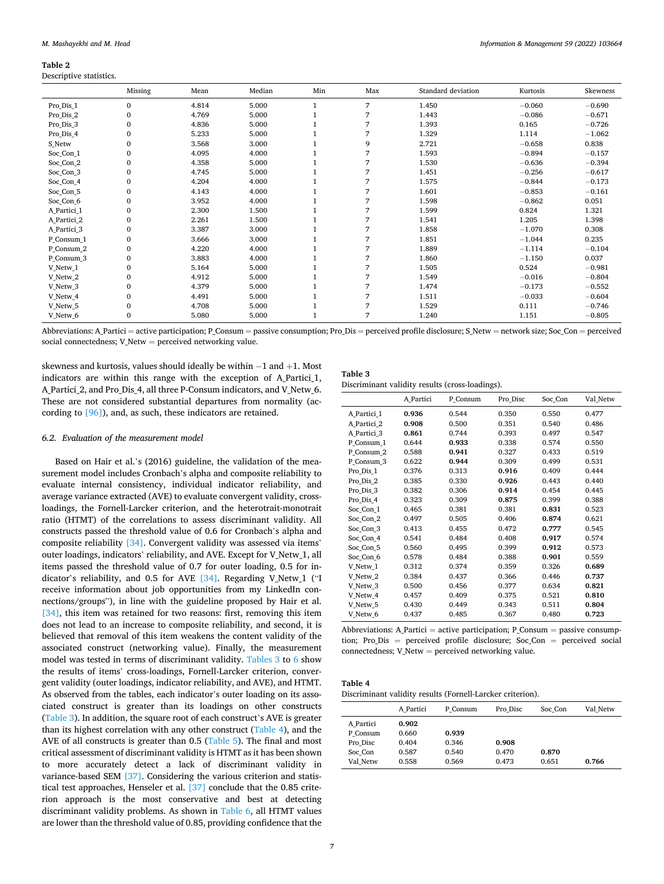#### <span id="page-6-0"></span>**Table 2**  Descriptive statistics.

|             | Missing      | Mean  | Median | Min | Max | Standard deviation | Kurtosis | Skewness |
|-------------|--------------|-------|--------|-----|-----|--------------------|----------|----------|
| Pro Dis 1   | $\mathbf{0}$ | 4.814 | 5.000  |     | 7   | 1.450              | $-0.060$ | $-0.690$ |
| Pro Dis 2   | $\mathbf{0}$ | 4.769 | 5.000  |     | 7   | 1.443              | $-0.086$ | $-0.671$ |
| Pro Dis 3   | $\Omega$     | 4.836 | 5.000  |     | 7   | 1.393              | 0.165    | $-0.726$ |
| Pro Dis 4   | $\mathbf{0}$ | 5.233 | 5.000  |     | 7   | 1.329              | 1.114    | $-1.062$ |
| S Netw      | $\mathbf{0}$ | 3.568 | 3.000  |     | 9   | 2.721              | $-0.658$ | 0.838    |
| Soc Con 1   | $\mathbf{0}$ | 4.095 | 4.000  |     | 7   | 1.593              | $-0.894$ | $-0.157$ |
| Soc Con 2   | 0            | 4.358 | 5.000  |     | 7   | 1.530              | $-0.636$ | $-0.394$ |
| Soc Con 3   | $\mathbf{0}$ | 4.745 | 5.000  |     | 7   | 1.451              | $-0.256$ | $-0.617$ |
| Soc Con 4   | 0            | 4.204 | 4.000  |     | 7   | 1.575              | $-0.844$ | $-0.173$ |
| Soc Con 5   | $\mathbf{0}$ | 4.143 | 4.000  |     | 7   | 1.601              | $-0.853$ | $-0.161$ |
| Soc Con 6   | $\Omega$     | 3.952 | 4.000  |     | 7   | 1.598              | $-0.862$ | 0.051    |
| A Partici 1 | $\mathbf{0}$ | 2.300 | 1.500  |     | 7   | 1.599              | 0.824    | 1.321    |
| A Partici 2 | 0            | 2.261 | 1.500  |     | 7   | 1.541              | 1.205    | 1.398    |
| A Partici 3 | $\mathbf{0}$ | 3.387 | 3.000  |     | 7   | 1.858              | $-1.070$ | 0.308    |
| P_Consum_1  | $\mathbf{0}$ | 3.666 | 3.000  |     | 7   | 1.851              | $-1.044$ | 0.235    |
| P Consum 2  | $\mathbf{0}$ | 4.220 | 4.000  |     | 7   | 1.889              | $-1.114$ | $-0.104$ |
| P_Consum_3  | $\mathbf{0}$ | 3.883 | 4.000  |     | 7   | 1.860              | $-1.150$ | 0.037    |
| V_Netw_1    | $\mathbf{0}$ | 5.164 | 5.000  |     | 7   | 1.505              | 0.524    | $-0.981$ |
| V_Netw_2    | 0            | 4.912 | 5.000  |     | 7   | 1.549              | $-0.016$ | $-0.804$ |
| V_Netw_3    | $\mathbf{0}$ | 4.379 | 5.000  |     | 7   | 1.474              | $-0.173$ | $-0.552$ |
| V_Netw_4    | 0            | 4.491 | 5.000  |     | 7   | 1.511              | $-0.033$ | $-0.604$ |
| V_Netw_5    | $\mathbf{0}$ | 4.708 | 5.000  |     | 7   | 1.529              | 0.111    | $-0.746$ |
| V_Netw_6    | $\mathbf{0}$ | 5.080 | 5.000  |     | 7   | 1.240              | 1.151    | $-0.805$ |

Abbreviations: A\_Partici = active participation; P\_Consum = passive consumption; Pro\_Dis = perceived profile disclosure; S\_Netw = network size; Soc\_Con = perceived social connectedness; V Netw = perceived networking value.

skewness and kurtosis, values should ideally be within −1 and +1. Most indicators are within this range with the exception of A\_Partici\_1, A\_Partici\_2, and Pro\_Dis\_4, all three P-Consum indicators, and V\_Netw\_6. These are not considered substantial departures from normality (according to [\[96\]\)](#page-12-0), and, as such, these indicators are retained.

## *6.2. Evaluation of the measurement model*

Based on Hair et al.'s (2016) guideline, the validation of the measurement model includes Cronbach's alpha and composite reliability to evaluate internal consistency, individual indicator reliability, and average variance extracted (AVE) to evaluate convergent validity, crossloadings, the Fornell-Larcker criterion, and the heterotrait-monotrait ratio (HTMT) of the correlations to assess discriminant validity. All constructs passed the threshold value of 0.6 for Cronbach's alpha and composite reliability [\[34\].](#page-11-0) Convergent validity was assessed via items' outer loadings, indicators' reliability, and AVE. Except for V\_Netw\_1, all items passed the threshold value of 0.7 for outer loading, 0.5 for indicator's reliability, and 0.5 for AVE [\[34\]](#page-11-0). Regarding V\_Netw\_1 ("I receive information about job opportunities from my LinkedIn connections/groups"), in line with the guideline proposed by Hair et al. [\[34\]](#page-11-0), this item was retained for two reasons: first, removing this item does not lead to an increase to composite reliability, and second, it is believed that removal of this item weakens the content validity of the associated construct (networking value). Finally, the measurement model was tested in terms of discriminant validity. Tables 3 to [6](#page-7-0) show the results of items' cross-loadings, Fornell-Larcker criterion, convergent validity (outer loadings, indicator reliability, and AVE), and HTMT. As observed from the tables, each indicator's outer loading on its associated construct is greater than its loadings on other constructs (Table 3). In addition, the square root of each construct's AVE is greater than its highest correlation with any other construct (Table 4), and the AVE of all constructs is greater than 0.5 ([Table 5](#page-7-0)). The final and most critical assessment of discriminant validity is HTMT as it has been shown to more accurately detect a lack of discriminant validity in variance-based SEM [\[37\]](#page-11-0). Considering the various criterion and statistical test approaches, Henseler et al. [\[37\]](#page-11-0) conclude that the 0.85 criterion approach is the most conservative and best at detecting discriminant validity problems. As shown in [Table 6,](#page-7-0) all HTMT values are lower than the threshold value of 0.85, providing confidence that the

| Table 3                                         |  |
|-------------------------------------------------|--|
| Discriminant validity results (cross-loadings). |  |

|             | A Partici | P_Consum | Pro Disc | Soc_Con | Val Netw |
|-------------|-----------|----------|----------|---------|----------|
| A Partici 1 | 0.936     | 0.544    | 0.350    | 0.550   | 0.477    |
| A Partici 2 | 0.908     | 0.500    | 0.351    | 0.540   | 0.486    |
| A Partici 3 | 0.861     | 0.744    | 0.393    | 0.497   | 0.547    |
| P Consum 1  | 0.644     | 0.933    | 0.338    | 0.574   | 0.550    |
| P Consum 2  | 0.588     | 0.941    | 0.327    | 0.433   | 0.519    |
| P Consum 3  | 0.622     | 0.944    | 0.309    | 0.499   | 0.531    |
| Pro Dis 1   | 0.376     | 0.313    | 0.916    | 0.409   | 0.444    |
| Pro Dis 2   | 0.385     | 0.330    | 0.926    | 0.443   | 0.440    |
| Pro Dis 3   | 0.382     | 0.306    | 0.914    | 0.454   | 0.445    |
| Pro Dis 4   | 0.323     | 0.309    | 0.875    | 0.399   | 0.388    |
| Soc Con 1   | 0.465     | 0.381    | 0.381    | 0.831   | 0.523    |
| Soc Con 2   | 0.497     | 0.505    | 0.406    | 0.874   | 0.621    |
| Soc Con 3   | 0.413     | 0.455    | 0.472    | 0.777   | 0.545    |
| Soc Con 4   | 0.541     | 0.484    | 0.408    | 0.917   | 0.574    |
| Soc Con 5   | 0.560     | 0.495    | 0.399    | 0.912   | 0.573    |
| Soc Con 6   | 0.578     | 0.484    | 0.388    | 0.901   | 0.559    |
| V Netw 1    | 0.312     | 0.374    | 0.359    | 0.326   | 0.689    |
| V Netw 2    | 0.384     | 0.437    | 0.366    | 0.446   | 0.737    |
| V Netw 3    | 0.500     | 0.456    | 0.377    | 0.634   | 0.821    |
| V Netw 4    | 0.457     | 0.409    | 0.375    | 0.521   | 0.810    |
| V Netw 5    | 0.430     | 0.449    | 0.343    | 0.511   | 0.804    |
| V Netw 6    | 0.437     | 0.485    | 0.367    | 0.480   | 0.723    |

Abbreviations: A\_Partici = active participation;  $P_{\text{S}}$  Consum = passive consumption; Pro\_Dis = perceived profile disclosure; Soc\_Con = perceived social connectedness; V\_Netw = perceived networking value.

| ١e<br>anı |  |
|-----------|--|
|-----------|--|

Discriminant validity results (Fornell-Larcker criterion).

|                       | A Partici      | P Consum       | Pro Disc       | Soc Con | Val Netw |
|-----------------------|----------------|----------------|----------------|---------|----------|
| A Partici<br>P Consum | 0.902<br>0.660 | 0.939          |                |         |          |
| Pro Disc<br>Soc Con   | 0.404<br>0.587 | 0.346<br>0.540 | 0.908<br>0.470 | 0.870   |          |
| Val Netw              | 0.558          | 0.569          | 0.473          | 0.651   | 0.766    |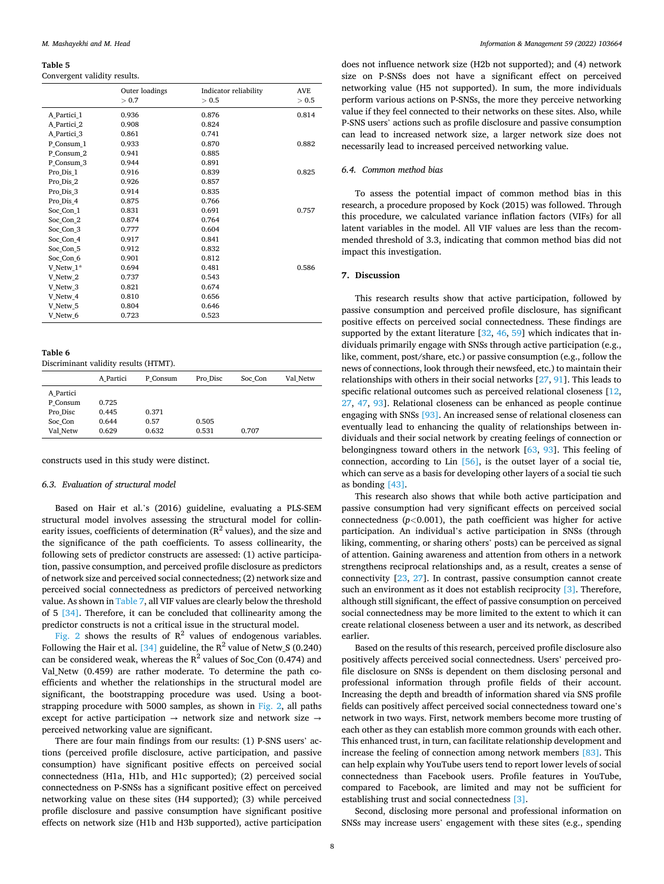#### <span id="page-7-0"></span>**Table 5**

Convergent validity results.

|                     | Outer loadings<br>> 0.7 | Indicator reliability<br>> 0.5 | <b>AVE</b><br>> 0.5 |
|---------------------|-------------------------|--------------------------------|---------------------|
| A Partici 1         | 0.936                   | 0.876                          | 0.814               |
| A Partici 2         | 0.908                   | 0.824                          |                     |
| A Partici 3         | 0.861                   | 0.741                          |                     |
| P Consum 1          | 0.933                   | 0.870                          | 0.882               |
| P Consum 2          | 0.941                   | 0.885                          |                     |
| P Consum 3          | 0.944                   | 0.891                          |                     |
| Pro Dis 1           | 0.916                   | 0.839                          | 0.825               |
| Pro Dis 2           | 0.926                   | 0.857                          |                     |
| Pro Dis 3           | 0.914                   | 0.835                          |                     |
| Pro Dis 4           | 0.875                   | 0.766                          |                     |
| Soc Con 1           | 0.831                   | 0.691                          | 0.757               |
| Soc Con 2           | 0.874                   | 0.764                          |                     |
| Soc Con 3           | 0.777                   | 0.604                          |                     |
| Soc Con 4           | 0.917                   | 0.841                          |                     |
| Soc Con 5           | 0.912                   | 0.832                          |                     |
| Soc Con 6           | 0.901                   | 0.812                          |                     |
| V Netw 1*           | 0.694                   | 0.481                          | 0.586               |
| V Netw 2            | 0.737                   | 0.543                          |                     |
| V Netw 3            | 0.821                   | 0.674                          |                     |
| V Netw 4            | 0.810                   | 0.656                          |                     |
| V Netw <sub>5</sub> | 0.804                   | 0.646                          |                     |
| V Netw 6            | 0.723                   | 0.523                          |                     |
|                     |                         |                                |                     |

**Table 6** 

Discriminant validity results (HTMT).

|           | A Partici | P Consum | Pro Disc | Soc Con | Val Netw |
|-----------|-----------|----------|----------|---------|----------|
| A Partici |           |          |          |         |          |
| P Consum  | 0.725     |          |          |         |          |
| Pro Disc  | 0.445     | 0.371    |          |         |          |
| Soc Con   | 0.644     | 0.57     | 0.505    |         |          |
| Val Netw  | 0.629     | 0.632    | 0.531    | 0.707   |          |

constructs used in this study were distinct.

### *6.3. Evaluation of structural model*

Based on Hair et al.'s (2016) guideline, evaluating a PLS-SEM structural model involves assessing the structural model for collinearity issues, coefficients of determination ( $R^2$  values), and the size and the significance of the path coefficients. To assess collinearity, the following sets of predictor constructs are assessed: (1) active participation, passive consumption, and perceived profile disclosure as predictors of network size and perceived social connectedness; (2) network size and perceived social connectedness as predictors of perceived networking value. As shown in [Table 7](#page-8-0), all VIF values are clearly below the threshold of 5 [\[34\].](#page-11-0) Therefore, it can be concluded that collinearity among the predictor constructs is not a critical issue in the structural model.

[Fig. 2](#page-8-0) shows the results of  $R^2$  values of endogenous variables. Following the Hair et al. [\[34\]](#page-11-0) guideline, the  $R^2$  value of Netw S (0.240) can be considered weak, whereas the  $R^2$  values of Soc<sub>\_</sub>Con (0.474) and Val\_Netw (0.459) are rather moderate. To determine the path coefficients and whether the relationships in the structural model are significant, the bootstrapping procedure was used. Using a bootstrapping procedure with 5000 samples, as shown in [Fig. 2,](#page-8-0) all paths except for active participation  $\rightarrow$  network size and network size  $\rightarrow$ perceived networking value are significant.

There are four main findings from our results: (1) P-SNS users' actions (perceived profile disclosure, active participation, and passive consumption) have significant positive effects on perceived social connectedness (H1a, H1b, and H1c supported); (2) perceived social connectedness on P-SNSs has a significant positive effect on perceived networking value on these sites (H4 supported); (3) while perceived profile disclosure and passive consumption have significant positive effects on network size (H1b and H3b supported), active participation

does not influence network size (H2b not supported); and (4) network size on P-SNSs does not have a significant effect on perceived networking value (H5 not supported). In sum, the more individuals perform various actions on P-SNSs, the more they perceive networking value if they feel connected to their networks on these sites. Also, while P-SNS users' actions such as profile disclosure and passive consumption can lead to increased network size, a larger network size does not necessarily lead to increased perceived networking value.

## *6.4. Common method bias*

To assess the potential impact of common method bias in this research, a procedure proposed by Kock (2015) was followed. Through this procedure, we calculated variance inflation factors (VIFs) for all latent variables in the model. All VIF values are less than the recommended threshold of 3.3, indicating that common method bias did not impact this investigation.

## **7. Discussion**

This research results show that active participation, followed by passive consumption and perceived profile disclosure, has significant positive effects on perceived social connectedness. These findings are supported by the extant literature [[32,](#page-11-0) [46, 59](#page-11-0)] which indicates that individuals primarily engage with SNSs through active participation (e.g., like, comment, post/share, etc.) or passive consumption (e.g., follow the news of connections, look through their newsfeed, etc.) to maintain their relationships with others in their social networks [[27,](#page-11-0) [91\]](#page-12-0). This leads to specific relational outcomes such as perceived relational closeness [\[12](#page-11-0), [27,](#page-11-0) [47,](#page-11-0) [93](#page-12-0)]. Relational closeness can be enhanced as people continue engaging with SNSs [\[93\].](#page-12-0) An increased sense of relational closeness can eventually lead to enhancing the quality of relationships between individuals and their social network by creating feelings of connection or belongingness toward others in the network [\[63](#page-11-0), [93\]](#page-12-0). This feeling of connection, according to Lin [\[56\],](#page-11-0) is the outset layer of a social tie, which can serve as a basis for developing other layers of a social tie such as bonding [\[43\]](#page-11-0).

This research also shows that while both active participation and passive consumption had very significant effects on perceived social connectedness  $(p<0.001)$ , the path coefficient was higher for active participation. An individual's active participation in SNSs (through liking, commenting, or sharing others' posts) can be perceived as signal of attention. Gaining awareness and attention from others in a network strengthens reciprocal relationships and, as a result, creates a sense of connectivity [\[23](#page-11-0), [27\]](#page-11-0). In contrast, passive consumption cannot create such an environment as it does not establish reciprocity [\[3\].](#page-10-0) Therefore, although still significant, the effect of passive consumption on perceived social connectedness may be more limited to the extent to which it can create relational closeness between a user and its network, as described earlier.

Based on the results of this research, perceived profile disclosure also positively affects perceived social connectedness. Users' perceived profile disclosure on SNSs is dependent on them disclosing personal and professional information through profile fields of their account. Increasing the depth and breadth of information shared via SNS profile fields can positively affect perceived social connectedness toward one's network in two ways. First, network members become more trusting of each other as they can establish more common grounds with each other. This enhanced trust, in turn, can facilitate relationship development and increase the feeling of connection among network members [\[83\].](#page-12-0) This can help explain why YouTube users tend to report lower levels of social connectedness than Facebook users. Profile features in YouTube, compared to Facebook, are limited and may not be sufficient for establishing trust and social connectedness [\[3\].](#page-10-0)

Second, disclosing more personal and professional information on SNSs may increase users' engagement with these sites (e.g., spending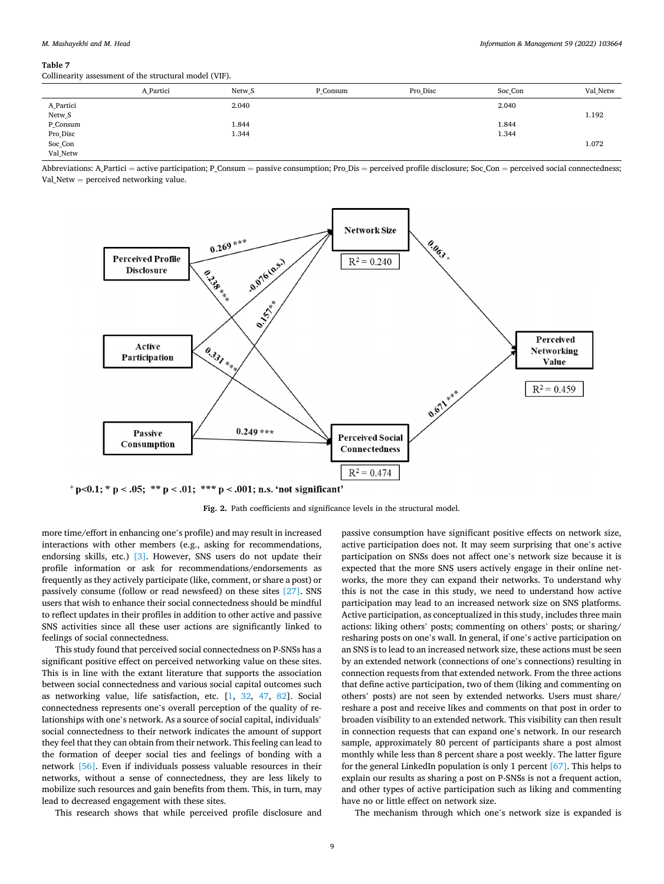#### <span id="page-8-0"></span>**Table 7**

Collinearity assessment of the structural model (VIF).

|           | A Partici | Netw <sub>S</sub> | P Consum | Pro Disc | Soc_Con | Val Netw |
|-----------|-----------|-------------------|----------|----------|---------|----------|
| A_Partici |           | 2.040             |          |          | 2.040   |          |
| Netw_S    |           |                   |          |          |         | 1.192    |
| P_Consum  |           | 1.844             |          |          | 1.844   |          |
| Pro_Disc  |           | 1.344             |          |          | 1.344   |          |
| Soc_Con   |           |                   |          |          |         | 1.072    |
| Val_Netw  |           |                   |          |          |         |          |

Abbreviations: A Partici = active participation; P\_Consum = passive consumption; Pro Dis = perceived profile disclosure; Soc\_Con = perceived social connectedness; Val\_Netw = perceived networking value.



 $p$  + p < 0.1; \* p < .05; \*\* p < .01; \*\*\* p < .001; n.s. 'not significant'

**Fig. 2.** Path coefficients and significance levels in the structural model.

more time/effort in enhancing one's profile) and may result in increased interactions with other members (e.g., asking for recommendations, endorsing skills, etc.) [\[3\]](#page-10-0). However, SNS users do not update their profile information or ask for recommendations/endorsements as frequently as they actively participate (like, comment, or share a post) or passively consume (follow or read newsfeed) on these sites [\[27\]](#page-11-0). SNS users that wish to enhance their social connectedness should be mindful to reflect updates in their profiles in addition to other active and passive SNS activities since all these user actions are significantly linked to feelings of social connectedness.

This study found that perceived social connectedness on P-SNSs has a significant positive effect on perceived networking value on these sites. This is in line with the extant literature that supports the association between social connectedness and various social capital outcomes such as networking value, life satisfaction, etc. [[1](#page-10-0), [32](#page-11-0), [47](#page-11-0), [82](#page-12-0)]. Social connectedness represents one's overall perception of the quality of relationships with one's network. As a source of social capital, individuals' social connectedness to their network indicates the amount of support they feel that they can obtain from their network. This feeling can lead to the formation of deeper social ties and feelings of bonding with a network [\[56\].](#page-11-0) Even if individuals possess valuable resources in their networks, without a sense of connectedness, they are less likely to mobilize such resources and gain benefits from them. This, in turn, may lead to decreased engagement with these sites.

This research shows that while perceived profile disclosure and

passive consumption have significant positive effects on network size, active participation does not. It may seem surprising that one's active participation on SNSs does not affect one's network size because it is expected that the more SNS users actively engage in their online networks, the more they can expand their networks. To understand why this is not the case in this study, we need to understand how active participation may lead to an increased network size on SNS platforms. Active participation, as conceptualized in this study, includes three main actions: liking others' posts; commenting on others' posts; or sharing/ resharing posts on one's wall. In general, if one's active participation on an SNS is to lead to an increased network size, these actions must be seen by an extended network (connections of one's connections) resulting in connection requests from that extended network. From the three actions that define active participation, two of them (liking and commenting on others' posts) are not seen by extended networks. Users must share/ reshare a post and receive likes and comments on that post in order to broaden visibility to an extended network. This visibility can then result in connection requests that can expand one's network. In our research sample, approximately 80 percent of participants share a post almost monthly while less than 8 percent share a post weekly. The latter figure for the general LinkedIn population is only 1 percent [\[67\].](#page-11-0) This helps to explain our results as sharing a post on P-SNSs is not a frequent action, and other types of active participation such as liking and commenting have no or little effect on network size.

The mechanism through which one's network size is expanded is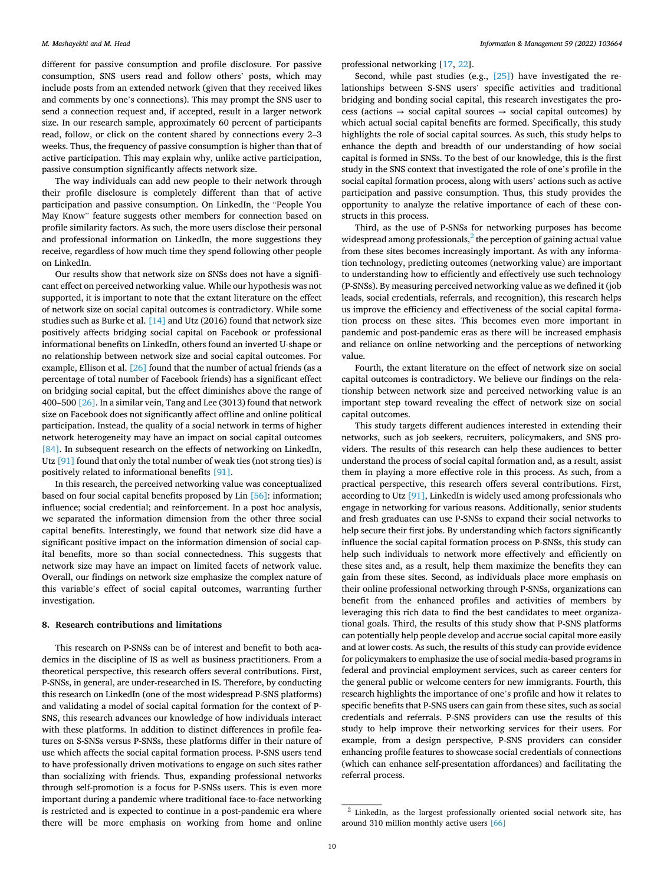different for passive consumption and profile disclosure. For passive consumption, SNS users read and follow others' posts, which may include posts from an extended network (given that they received likes and comments by one's connections). This may prompt the SNS user to send a connection request and, if accepted, result in a larger network size. In our research sample, approximately 60 percent of participants read, follow, or click on the content shared by connections every 2–3 weeks. Thus, the frequency of passive consumption is higher than that of active participation. This may explain why, unlike active participation, passive consumption significantly affects network size.

The way individuals can add new people to their network through their profile disclosure is completely different than that of active participation and passive consumption. On LinkedIn, the "People You May Know" feature suggests other members for connection based on profile similarity factors. As such, the more users disclose their personal and professional information on LinkedIn, the more suggestions they receive, regardless of how much time they spend following other people on LinkedIn.

Our results show that network size on SNSs does not have a significant effect on perceived networking value. While our hypothesis was not supported, it is important to note that the extant literature on the effect of network size on social capital outcomes is contradictory. While some studies such as Burke et al. [\[14\]](#page-11-0) and Utz (2016) found that network size positively affects bridging social capital on Facebook or professional informational benefits on LinkedIn, others found an inverted U-shape or no relationship between network size and social capital outcomes. For example, Ellison et al. [\[26\]](#page-11-0) found that the number of actual friends (as a percentage of total number of Facebook friends) has a significant effect on bridging social capital, but the effect diminishes above the range of 400–500 [\[26\].](#page-11-0) In a similar vein, Tang and Lee (3013) found that network size on Facebook does not significantly affect offline and online political participation. Instead, the quality of a social network in terms of higher network heterogeneity may have an impact on social capital outcomes [\[84\]](#page-12-0). In subsequent research on the effects of networking on LinkedIn, Utz [\[91\]](#page-12-0) found that only the total number of weak ties (not strong ties) is positively related to informational benefits [\[91\].](#page-12-0)

In this research, the perceived networking value was conceptualized based on four social capital benefits proposed by Lin [\[56\]](#page-11-0): information; influence; social credential; and reinforcement. In a post hoc analysis, we separated the information dimension from the other three social capital benefits. Interestingly, we found that network size did have a significant positive impact on the information dimension of social capital benefits, more so than social connectedness. This suggests that network size may have an impact on limited facets of network value. Overall, our findings on network size emphasize the complex nature of this variable's effect of social capital outcomes, warranting further investigation.

## **8. Research contributions and limitations**

This research on P-SNSs can be of interest and benefit to both academics in the discipline of IS as well as business practitioners. From a theoretical perspective, this research offers several contributions. First, P-SNSs, in general, are under-researched in IS. Therefore, by conducting this research on LinkedIn (one of the most widespread P-SNS platforms) and validating a model of social capital formation for the context of P-SNS, this research advances our knowledge of how individuals interact with these platforms. In addition to distinct differences in profile features on S-SNSs versus P-SNSs, these platforms differ in their nature of use which affects the social capital formation process. P-SNS users tend to have professionally driven motivations to engage on such sites rather than socializing with friends. Thus, expanding professional networks through self-promotion is a focus for P-SNSs users. This is even more important during a pandemic where traditional face-to-face networking is restricted and is expected to continue in a post-pandemic era where there will be more emphasis on working from home and online

professional networking [\[17](#page-11-0), [22\]](#page-11-0).

Second, while past studies (e.g., [\[25\]](#page-11-0)) have investigated the relationships between S-SNS users' specific activities and traditional bridging and bonding social capital, this research investigates the process (actions  $\rightarrow$  social capital sources  $\rightarrow$  social capital outcomes) by which actual social capital benefits are formed. Specifically, this study highlights the role of social capital sources. As such, this study helps to enhance the depth and breadth of our understanding of how social capital is formed in SNSs. To the best of our knowledge, this is the first study in the SNS context that investigated the role of one's profile in the social capital formation process, along with users' actions such as active participation and passive consumption. Thus, this study provides the opportunity to analyze the relative importance of each of these constructs in this process.

Third, as the use of P-SNSs for networking purposes has become widespread among professionals, $<sup>2</sup>$  the perception of gaining actual value</sup> from these sites becomes increasingly important. As with any information technology, predicting outcomes (networking value) are important to understanding how to efficiently and effectively use such technology (P-SNSs). By measuring perceived networking value as we defined it (job leads, social credentials, referrals, and recognition), this research helps us improve the efficiency and effectiveness of the social capital formation process on these sites. This becomes even more important in pandemic and post-pandemic eras as there will be increased emphasis and reliance on online networking and the perceptions of networking value.

Fourth, the extant literature on the effect of network size on social capital outcomes is contradictory. We believe our findings on the relationship between network size and perceived networking value is an important step toward revealing the effect of network size on social capital outcomes.

This study targets different audiences interested in extending their networks, such as job seekers, recruiters, policymakers, and SNS providers. The results of this research can help these audiences to better understand the process of social capital formation and, as a result, assist them in playing a more effective role in this process. As such, from a practical perspective, this research offers several contributions. First, according to Utz [\[91\],](#page-12-0) LinkedIn is widely used among professionals who engage in networking for various reasons. Additionally, senior students and fresh graduates can use P-SNSs to expand their social networks to help secure their first jobs. By understanding which factors significantly influence the social capital formation process on P-SNSs, this study can help such individuals to network more effectively and efficiently on these sites and, as a result, help them maximize the benefits they can gain from these sites. Second, as individuals place more emphasis on their online professional networking through P-SNSs, organizations can benefit from the enhanced profiles and activities of members by leveraging this rich data to find the best candidates to meet organizational goals. Third, the results of this study show that P-SNS platforms can potentially help people develop and accrue social capital more easily and at lower costs. As such, the results of this study can provide evidence for policymakers to emphasize the use of social media-based programs in federal and provincial employment services, such as career centers for the general public or welcome centers for new immigrants. Fourth, this research highlights the importance of one's profile and how it relates to specific benefits that P-SNS users can gain from these sites, such as social credentials and referrals. P-SNS providers can use the results of this study to help improve their networking services for their users. For example, from a design perspective, P-SNS providers can consider enhancing profile features to showcase social credentials of connections (which can enhance self-presentation affordances) and facilitating the referral process.

 $2$  LinkedIn, as the largest professionally oriented social network site, has around 310 million monthly active users [\[66\]](#page-11-0)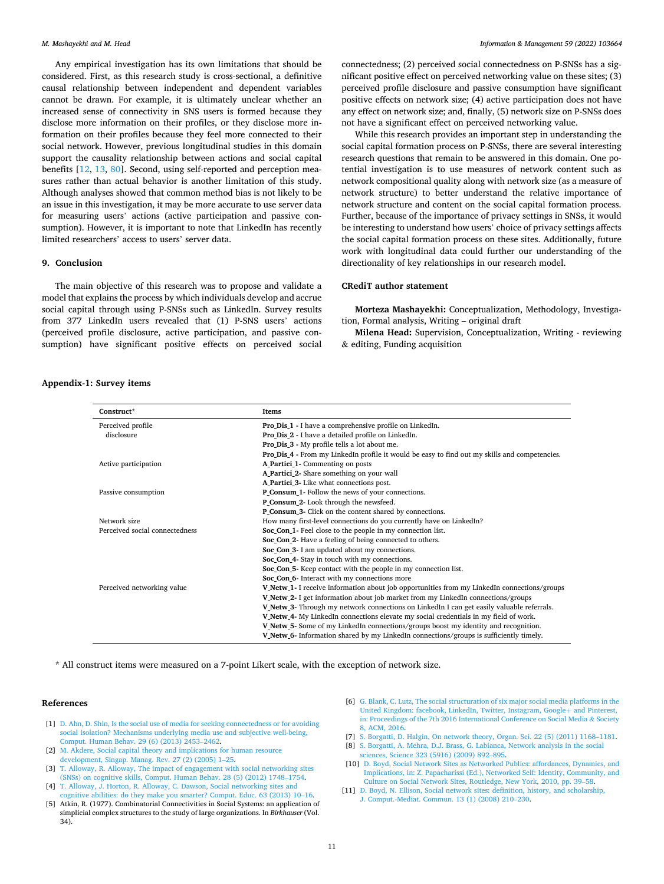<span id="page-10-0"></span>Any empirical investigation has its own limitations that should be considered. First, as this research study is cross-sectional, a definitive causal relationship between independent and dependent variables cannot be drawn. For example, it is ultimately unclear whether an increased sense of connectivity in SNS users is formed because they disclose more information on their profiles, or they disclose more information on their profiles because they feel more connected to their social network. However, previous longitudinal studies in this domain support the causality relationship between actions and social capital benefits [\[12](#page-11-0), [13](#page-11-0), [80](#page-11-0)]. Second, using self-reported and perception measures rather than actual behavior is another limitation of this study. Although analyses showed that common method bias is not likely to be an issue in this investigation, it may be more accurate to use server data for measuring users' actions (active participation and passive consumption). However, it is important to note that LinkedIn has recently limited researchers' access to users' server data.

## **9. Conclusion**

The main objective of this research was to propose and validate a model that explains the process by which individuals develop and accrue social capital through using P-SNSs such as LinkedIn. Survey results from 377 LinkedIn users revealed that (1) P-SNS users' actions (perceived profile disclosure, active participation, and passive consumption) have significant positive effects on perceived social connectedness; (2) perceived social connectedness on P-SNSs has a significant positive effect on perceived networking value on these sites; (3) perceived profile disclosure and passive consumption have significant positive effects on network size; (4) active participation does not have any effect on network size; and, finally, (5) network size on P-SNSs does not have a significant effect on perceived networking value.

While this research provides an important step in understanding the social capital formation process on P-SNSs, there are several interesting research questions that remain to be answered in this domain. One potential investigation is to use measures of network content such as network compositional quality along with network size (as a measure of network structure) to better understand the relative importance of network structure and content on the social capital formation process. Further, because of the importance of privacy settings in SNSs, it would be interesting to understand how users' choice of privacy settings affects the social capital formation process on these sites. Additionally, future work with longitudinal data could further our understanding of the directionality of key relationships in our research model.

## **CRediT author statement**

**Morteza Mashayekhi:** Conceptualization, Methodology, Investigation, Formal analysis, Writing – original draft

**Milena Head:** Supervision, Conceptualization, Writing - reviewing & editing, Funding acquisition

## **Appendix-1: Survey items**

| Construct*                     | Items                                                                                         |
|--------------------------------|-----------------------------------------------------------------------------------------------|
| Perceived profile              | <b>Pro Dis 1 - I</b> have a comprehensive profile on LinkedIn.                                |
| disclosure                     | Pro_Dis_2 - I have a detailed profile on LinkedIn.                                            |
|                                | <b>Pro Dis 3 - My profile tells a lot about me.</b>                                           |
|                                | Pro Dis 4 - From my LinkedIn profile it would be easy to find out my skills and competencies. |
| Active participation           | A Partici 1- Commenting on posts                                                              |
|                                | A_Partici_2- Share something on your wall                                                     |
|                                | A Partici 3- Like what connections post.                                                      |
| Passive consumption            | P Consum 1- Follow the news of your connections.                                              |
|                                | P_Consum_2- Look through the newsfeed.                                                        |
|                                | P Consum 3- Click on the content shared by connections.                                       |
| Network size                   | How many first-level connections do you currently have on LinkedIn?                           |
| Perceived social connectedness | Soc_Con_1- Feel close to the people in my connection list.                                    |
|                                | Soc Con 2- Have a feeling of being connected to others.                                       |
|                                | Soc Con 3- I am updated about my connections.                                                 |
|                                | Soc_Con_4- Stay in touch with my connections.                                                 |
|                                | Soc_Con_5- Keep contact with the people in my connection list.                                |
|                                | Soc_Con_6- Interact with my connections more                                                  |
| Perceived networking value     | V Netw 1- I receive information about job opportunities from my LinkedIn connections/groups   |
|                                | V Netw 2- I get information about job market from my LinkedIn connections/groups              |
|                                | V Netw 3- Through my network connections on LinkedIn I can get easily valuable referrals.     |
|                                | V Netw 4- My LinkedIn connections elevate my social credentials in my field of work.          |
|                                | V Netw 5- Some of my LinkedIn connections/groups boost my identity and recognition.           |
|                                | V Netw 6- Information shared by my LinkedIn connections/groups is sufficiently timely.        |

\* All construct items were measured on a 7-point Likert scale, with the exception of network size.

## **References**

- [1] [D. Ahn, D. Shin, Is the social use of media for seeking connectedness or for avoiding](http://refhub.elsevier.com/S0378-7206(22)00074-X/sbref0001)  [social isolation? Mechanisms underlying media use and subjective well-being,](http://refhub.elsevier.com/S0378-7206(22)00074-X/sbref0001) [Comput. Human Behav. 29 \(6\) \(2013\) 2453](http://refhub.elsevier.com/S0378-7206(22)00074-X/sbref0001)–2462.
- [2] [M. Akdere, Social capital theory and implications for human resource](http://refhub.elsevier.com/S0378-7206(22)00074-X/sbref0002)  [development, Singap. Manag. Rev. 27 \(2\) \(2005\) 1](http://refhub.elsevier.com/S0378-7206(22)00074-X/sbref0002)–25.
- [3] [T. Alloway, R. Alloway, The impact of engagement with social networking sites](http://refhub.elsevier.com/S0378-7206(22)00074-X/sbref0003)  [\(SNSs\) on cognitive skills, Comput. Human Behav. 28 \(5\) \(2012\) 1748](http://refhub.elsevier.com/S0378-7206(22)00074-X/sbref0003)–1754.
- [4] [T. Alloway, J. Horton, R. Alloway, C. Dawson, Social networking sites and](http://refhub.elsevier.com/S0378-7206(22)00074-X/sbref0004)  [cognitive abilities: do they make you smarter? Comput. Educ. 63 \(2013\) 10](http://refhub.elsevier.com/S0378-7206(22)00074-X/sbref0004)–16.
- [5] Atkin, R. (1977). Combinatorial Connectivities in Social Systems: an application of simplicial complex structures to the study of large organizations. In *Birkhauser* (Vol. 34).
- [6] [G. Blank, C. Lutz, The social structuration of six major social media platforms in the](http://refhub.elsevier.com/S0378-7206(22)00074-X/sbref0006)  [United Kingdom: facebook, LinkedIn, Twitter, Instagram, Google](http://refhub.elsevier.com/S0378-7206(22)00074-X/sbref0006)+ and Pinterest, [in: Proceedings of the 7th 2016 International Conference on Social Media](http://refhub.elsevier.com/S0378-7206(22)00074-X/sbref0006) & Society [8, ACM, 2016.](http://refhub.elsevier.com/S0378-7206(22)00074-X/sbref0006)
- [7] [S. Borgatti, D. Halgin, On network theory, Organ. Sci. 22 \(5\) \(2011\) 1168](http://refhub.elsevier.com/S0378-7206(22)00074-X/sbref0007)–1181.
- [8] [S. Borgatti, A. Mehra, D.J. Brass, G. Labianca, Network analysis in the social](http://refhub.elsevier.com/S0378-7206(22)00074-X/sbref0008)  [sciences, Science 323 \(5916\) \(2009\) 892](http://refhub.elsevier.com/S0378-7206(22)00074-X/sbref0008)–895.
- [10] [D. Boyd, Social Network Sites as Networked Publics: affordances, Dynamics, and](http://refhub.elsevier.com/S0378-7206(22)00074-X/sbref0010)  [Implications, in: Z. Papacharissi \(Ed.\), Networked Self: Identity, Community, and](http://refhub.elsevier.com/S0378-7206(22)00074-X/sbref0010)  [Culture on Social Network Sites, Routledge, New York, 2010, pp. 39](http://refhub.elsevier.com/S0378-7206(22)00074-X/sbref0010)–58.
- [11] [D. Boyd, N. Ellison, Social network sites: definition, history, and scholarship,](http://refhub.elsevier.com/S0378-7206(22)00074-X/sbref0011)  [J. Comput.-Mediat. Commun. 13 \(1\) \(2008\) 210](http://refhub.elsevier.com/S0378-7206(22)00074-X/sbref0011)–230.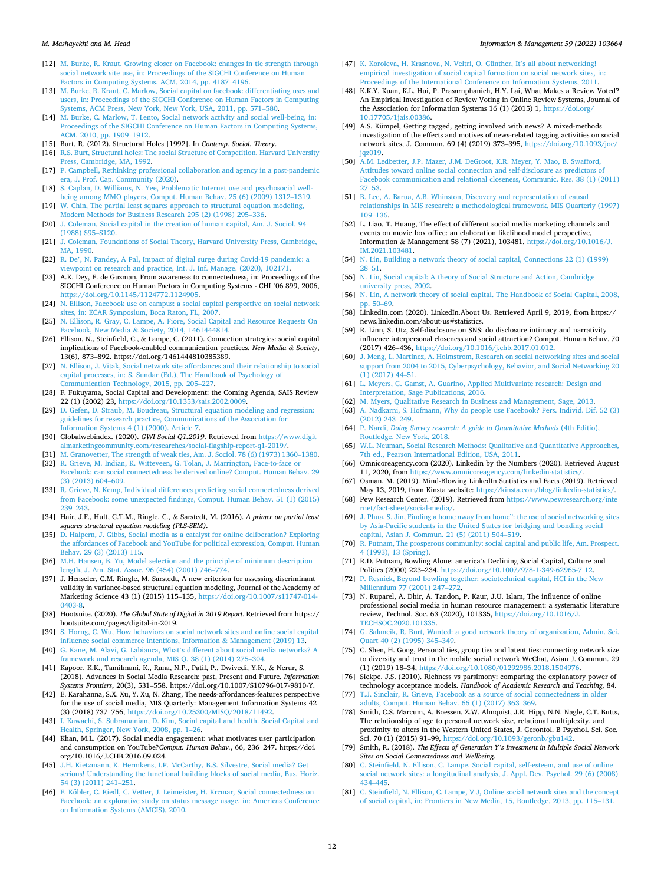#### <span id="page-11-0"></span>*M. Mashayekhi and M. Head*

- [12] [M. Burke, R. Kraut, Growing closer on Facebook: changes in tie strength through](http://refhub.elsevier.com/S0378-7206(22)00074-X/sbref0012)  [social network site use, in: Proceedings of the SIGCHI Conference on Human](http://refhub.elsevier.com/S0378-7206(22)00074-X/sbref0012) [Factors in Computing Systems, ACM, 2014, pp. 4187](http://refhub.elsevier.com/S0378-7206(22)00074-X/sbref0012)–4196.
- [13] [M. Burke, R. Kraut, C. Marlow, Social capital on facebook: differentiating uses and](http://refhub.elsevier.com/S0378-7206(22)00074-X/sbref0013)  [users, in: Proceedings of the SIGCHI Conference on Human Factors in Computing](http://refhub.elsevier.com/S0378-7206(22)00074-X/sbref0013) [Systems, ACM Press, New York, New York, USA, 2011, pp. 571](http://refhub.elsevier.com/S0378-7206(22)00074-X/sbref0013)–580.
- [14] [M. Burke, C. Marlow, T. Lento, Social network activity and social well-being, in:](http://refhub.elsevier.com/S0378-7206(22)00074-X/sbref0014) [Proceedings of the SIGCHI Conference on Human Factors in Computing Systems,](http://refhub.elsevier.com/S0378-7206(22)00074-X/sbref0014) [ACM, 2010, pp. 1909](http://refhub.elsevier.com/S0378-7206(22)00074-X/sbref0014)–1912.
- [15] Burt, R. (2012). Structural Holes [1992]. In *Contemp. Sociol. Theory*.
- R.S. Burt, Structural holes: The social Structure of Competition, Harvard University [Press, Cambridge, MA, 1992](http://refhub.elsevier.com/S0378-7206(22)00074-X/sbref0016).
- [17] [P. Campbell, Rethinking professional collaboration and agency in a post-pandemic](http://refhub.elsevier.com/S0378-7206(22)00074-X/sbref0017)  [era, J. Prof. Cap. Community \(2020\).](http://refhub.elsevier.com/S0378-7206(22)00074-X/sbref0017)
- [18] [S. Caplan, D. Williams, N. Yee, Problematic Internet use and psychosocial well](http://refhub.elsevier.com/S0378-7206(22)00074-X/sbref0018)[being among MMO players, Comput. Human Behav. 25 \(6\) \(2009\) 1312](http://refhub.elsevier.com/S0378-7206(22)00074-X/sbref0018)–1319.
- [19] [W. Chin, The partial least squares approach to structural equation modeling,](http://refhub.elsevier.com/S0378-7206(22)00074-X/sbref0019) [Modern Methods for Business Research 295 \(2\) \(1998\) 295](http://refhub.elsevier.com/S0378-7206(22)00074-X/sbref0019)–336.
- [20] J. Coleman, Social capital in the creation of human capital, Am. J. Sociol. 94 [\(1988\) S95](http://refhub.elsevier.com/S0378-7206(22)00074-X/sbref0020)–S120.
- [21] [J. Coleman, Foundations of Social Theory, Harvard University Press, Cambridge,](http://refhub.elsevier.com/S0378-7206(22)00074-X/sbref0021) [MA, 1990](http://refhub.elsevier.com/S0378-7206(22)00074-X/sbref0021).
- [22] R. De'[, N. Pandey, A Pal, Impact of digital surge during Covid-19 pandemic: a](http://refhub.elsevier.com/S0378-7206(22)00074-X/sbref0022)  iewpoint on research and practice, Int. J. Inf. Manage. (2020), 102171.
- [23] A.K. Dey, E. de Guzman, From awareness to connectedness, in: Proceedings of the SIGCHI Conference on Human Factors in Computing Systems - CHI '06 899, 2006, [https://doi.org/10.1145/1124772.1124905.](https://doi.org/10.1145/1124772.1124905)
- [24] [N. Ellison, Facebook use on campus: a social capital perspective on social network](http://refhub.elsevier.com/S0378-7206(22)00074-X/sbref0024)  [sites, in: ECAR Symposium, Boca Raton, FL, 2007](http://refhub.elsevier.com/S0378-7206(22)00074-X/sbref0024).
- [25] N. Ellison, R. Gray, C. Lampe, A. Fiore, Social Capital and Resource Requests On acebook, New Media & [Society, 2014, 1461444814.](http://refhub.elsevier.com/S0378-7206(22)00074-X/sbref0025)
- [26] Ellison, N., Steinfield, C., & Lampe, C. (2011). Connection strategies: social capital implications of Facebook-enabled communication practices. *New Media & Society*, 13(6), 873–892. https://doi.org/1461444810385389.
- [27] [N. Ellison, J. Vitak, Social network site affordances and their relationship to social](http://refhub.elsevier.com/S0378-7206(22)00074-X/sbref0027)  [capital processes, in: S. Sundar \(Ed.\), The Handbook of Psychology of](http://refhub.elsevier.com/S0378-7206(22)00074-X/sbref0027) [Communication Technology, 2015, pp. 205](http://refhub.elsevier.com/S0378-7206(22)00074-X/sbref0027)–227.
- [28] F. Fukuyama, Social Capital and Development: the Coming Agenda, SAIS Review 22 (1) (2002) 23, [https://doi.org/10.1353/sais.2002.0009.](https://doi.org/10.1353/sais.2002.0009)
- [29] [D. Gefen, D. Straub, M. Boudreau, Structural equation modeling and regression:](http://refhub.elsevier.com/S0378-7206(22)00074-X/sbref0029) [guidelines for research practice, Communications of the Association for](http://refhub.elsevier.com/S0378-7206(22)00074-X/sbref0029)  [Information Systems 4 \(1\) \(2000\). Article 7](http://refhub.elsevier.com/S0378-7206(22)00074-X/sbref0029).
- [30] Globalwebindex. (2020). *GWI Social Q1.2019*. Retrieved from [https://www.digit](https://www.digitalmarketingcommunity.com/researches/social-flagship-report-q1-2019/)  [almarketingcommunity.com/researches/social-flagship-report-q1-2019/.](https://www.digitalmarketingcommunity.com/researches/social-flagship-report-q1-2019/)
- [31] [M. Granovetter, The strength of weak ties, Am. J. Sociol. 78 \(6\) \(1973\) 1360](http://refhub.elsevier.com/S0378-7206(22)00074-X/sbref0031)–1380. [32] [R. Grieve, M. Indian, K. Witteveen, G. Tolan, J. Marrington, Face-to-face or](http://refhub.elsevier.com/S0378-7206(22)00074-X/sbref0032)
- [Facebook: can social connectedness be derived online? Comput. Human Behav. 29](http://refhub.elsevier.com/S0378-7206(22)00074-X/sbref0032)  [\(3\) \(2013\) 604](http://refhub.elsevier.com/S0378-7206(22)00074-X/sbref0032)–609.
- [33] R. Grieve, N. Kemp, Individual differences predicting social connectedness derived [from Facebook: some unexpected findings, Comput. Human Behav. 51 \(1\) \(2015\)](http://refhub.elsevier.com/S0378-7206(22)00074-X/sbref0033)  239–[243.](http://refhub.elsevier.com/S0378-7206(22)00074-X/sbref0033)
- [34] Hair, J.F., Hult, G.T.M., Ringle, C., & Sarstedt, M. (2016). *A primer on partial least squares structural equation modeling (PLS-SEM)*.
- [35] [D. Halpern, J. Gibbs, Social media as a catalyst for online deliberation? Exploring](http://refhub.elsevier.com/S0378-7206(22)00074-X/sbref0035)  [the affordances of Facebook and YouTube for political expression, Comput. Human](http://refhub.elsevier.com/S0378-7206(22)00074-X/sbref0035)  [Behav. 29 \(3\) \(2013\) 115](http://refhub.elsevier.com/S0378-7206(22)00074-X/sbref0035).
- [36] [M.H. Hansen, B. Yu, Model selection and the principle of minimum description](http://refhub.elsevier.com/S0378-7206(22)00074-X/sbref0036) [length, J. Am. Stat. Assoc. 96 \(454\) \(2001\) 746](http://refhub.elsevier.com/S0378-7206(22)00074-X/sbref0036)–774.
- [37] J. Henseler, C.M. Ringle, M. Sarstedt, A new criterion for assessing discriminant validity in variance-based structural equation modeling, Journal of the Academy of Marketing Science 43 (1) (2015) 115–135, [https://doi.org/10.1007/s11747-014-](https://doi.org/10.1007/s11747-014-0403-8) [0403-8](https://doi.org/10.1007/s11747-014-0403-8).
- [38] Hootsuite. (2020). *The Global State of Digital in 2019 Report*. Retrieved from https:// hootsuite.com/pages/digital-in-2019.
- [39] [S. Horng, C. Wu, How behaviors on social network sites and online social capital](http://refhub.elsevier.com/S0378-7206(22)00074-X/sbref0039)  [influence social commerce intentions, Information](http://refhub.elsevier.com/S0378-7206(22)00074-X/sbref0039) & Management (2019) 13.
- [40] G. Kane, M. Alavi, G. Labianca, What'[s different about social media networks? A](http://refhub.elsevier.com/S0378-7206(22)00074-X/sbref0040) [framework and research agenda, MIS Q. 38 \(1\) \(2014\) 275](http://refhub.elsevier.com/S0378-7206(22)00074-X/sbref0040)–304.
- [41] Kapoor, K.K., Tamilmani, K., Rana, N.P., Patil, P., Dwivedi, Y.K., & Nerur, S. (2018). Advances in Social Media Research: past, Present and Future. *Information Systems Frontiers*, 20(3), 531–558. https://doi.org/10.1007/S10796-017-9810-Y.
- [42] E. Karahanna, S.X. Xu, Y. Xu, N. Zhang, The needs-affordances-features perspective for the use of social media, MIS Quarterly: Management Information Systems 42 (3) (2018) 737–756, <https://doi.org/10.25300/MISQ/2018/11492>.
- [43] [I. Kawachi, S. Subramanian, D. Kim, Social capital and health. Social Capital and](http://refhub.elsevier.com/S0378-7206(22)00074-X/sbref0043) [Health, Springer, New York, 2008, pp. 1](http://refhub.elsevier.com/S0378-7206(22)00074-X/sbref0043)–26.
- [44] Khan, M.L. (2017). Social media engagement: what motivates user participation and consumption on YouTube?*Comput. Human Behav.*, 66, 236–247. https://doi. org/10.1016/J.CHB.2016.09.024.
- [45] [J.H. Kietzmann, K. Hermkens, I.P. McCarthy, B.S. Silvestre, Social media? Get](http://refhub.elsevier.com/S0378-7206(22)00074-X/sbref0045)  [serious! Understanding the functional building blocks of social media, Bus. Horiz.](http://refhub.elsevier.com/S0378-7206(22)00074-X/sbref0045)  [54 \(3\) \(2011\) 241](http://refhub.elsevier.com/S0378-7206(22)00074-X/sbref0045)–251.
- [46] F. Köbler, C. Riedl, C. Vetter, J. Leimeister, H. Krcmar, Social connectedness on [Facebook: an explorative study on status message usage, in: Americas Conference](http://refhub.elsevier.com/S0378-7206(22)00074-X/sbref0046)  [on Information Systems \(AMCIS\), 2010](http://refhub.elsevier.com/S0378-7206(22)00074-X/sbref0046).
- [47] [K. Koroleva, H. Krasnova, N. Veltri, O. Günther, It](http://refhub.elsevier.com/S0378-7206(22)00074-X/sbref0047)'s all about networking! [empirical investigation of social capital formation on social network sites, in:](http://refhub.elsevier.com/S0378-7206(22)00074-X/sbref0047)  [Proceedings of the International Conference on Information Systems, 2011](http://refhub.elsevier.com/S0378-7206(22)00074-X/sbref0047).
- [48] K.K.Y. Kuan, K.L. Hui, P. Prasarnphanich, H.Y. Lai, What Makes a Review Voted? An Empirical Investigation of Review Voting in Online Review Systems, Journal of the Association for Information Systems 16 (1) (2015) 1, https://doi.org/ 7705/1*iais*.00386
- [49] A.S. Kümpel, Getting tagged, getting involved with news? A mixed-methods investigation of the effects and motives of news-related tagging activities on social network sites, J. Commun. 69 (4) (2019) 373–395, [https://doi.org/10.1093/joc/](https://doi.org/10.1093/joc/jqz019) [jqz019](https://doi.org/10.1093/joc/jqz019).
- [50] [A.M. Ledbetter, J.P. Mazer, J.M. DeGroot, K.R. Meyer, Y. Mao, B. Swafford,](http://refhub.elsevier.com/S0378-7206(22)00074-X/sbref0050) [Attitudes toward online social connection and self-disclosure as predictors of](http://refhub.elsevier.com/S0378-7206(22)00074-X/sbref0050) [Facebook communication and relational closeness, Communic. Res. 38 \(1\) \(2011\)](http://refhub.elsevier.com/S0378-7206(22)00074-X/sbref0050)  27–[53.](http://refhub.elsevier.com/S0378-7206(22)00074-X/sbref0050)
- [51] [B. Lee, A. Barua, A.B. Whinston, Discovery and representation of causal](http://refhub.elsevier.com/S0378-7206(22)00074-X/sbref0051) [relationships in MIS research: a methodological framework, MIS Quarterly \(1997\)](http://refhub.elsevier.com/S0378-7206(22)00074-X/sbref0051)  109–[136.](http://refhub.elsevier.com/S0378-7206(22)00074-X/sbref0051)
- [52] L. Liao, T. Huang, The effect of different social media marketing channels and events on movie box office: an elaboration likelihood model perspective, Information & Management 58 (7) (2021), 103481, [https://doi.org/10.1016/J.](https://doi.org/10.1016/J.IM.2021.103481)  [IM.2021.103481](https://doi.org/10.1016/J.IM.2021.103481).
- [54] [N. Lin, Building a network theory of social capital, Connections 22 \(1\) \(1999\)](http://refhub.elsevier.com/S0378-7206(22)00074-X/sbref0054)  28–[51.](http://refhub.elsevier.com/S0378-7206(22)00074-X/sbref0054)
- [55] [N. Lin, Social capital: A theory of Social Structure and Action, Cambridge](http://refhub.elsevier.com/S0378-7206(22)00074-X/sbref0055)  [university press, 2002.](http://refhub.elsevier.com/S0378-7206(22)00074-X/sbref0055)
- [56] [N. Lin, A network theory of social capital. The Handbook of Social Capital, 2008,](http://refhub.elsevier.com/S0378-7206(22)00074-X/sbref0056)   $p. 50-69.$
- [58] LinkedIn.com (2020). LinkedIn.About Us. Retrieved April 9, 2019, from https:// news.linkedin.com/about-us#statistics.
- [59] R. Linn, S. Utz, Self-disclosure on SNS: do disclosure intimacy and narrativity influence interpersonal closeness and social attraction? Comput. Human Behav. 70 (2017) 426–436, <https://doi.org/10.1016/j.chb.2017.01.012>.
- [60] [J. Meng, L. Martinez, A. Holmstrom, Research on social networking sites and social](http://refhub.elsevier.com/S0378-7206(22)00074-X/sbref0060)  [support from 2004 to 2015, Cyberpsychology, Behavior, and Social Networking 20](http://refhub.elsevier.com/S0378-7206(22)00074-X/sbref0060)   $(1)$   $(2017)$  44–51.
- [61] [L. Meyers, G. Gamst, A. Guarino, Applied Multivariate research: Design and](http://refhub.elsevier.com/S0378-7206(22)00074-X/sbref0061)  [Interpretation, Sage Publications, 2016](http://refhub.elsevier.com/S0378-7206(22)00074-X/sbref0061).
- [62] [M. Myers, Qualitative Research in Business and Management, Sage, 2013.](http://refhub.elsevier.com/S0378-7206(22)00074-X/sbref0062) [63] [A. Nadkarni, S. Hofmann, Why do people use Facebook? Pers. Individ. Dif. 52 \(3\)](http://refhub.elsevier.com/S0378-7206(22)00074-X/sbref0063)  [\(2012\) 243](http://refhub.elsevier.com/S0378-7206(22)00074-X/sbref0063)–249.
- [64] P. Nardi, *[Doing Survey research: A guide to Quantitative Methods](http://refhub.elsevier.com/S0378-7206(22)00074-X/sbref0064)* (4th Editio), [Routledge, New York, 2018](http://refhub.elsevier.com/S0378-7206(22)00074-X/sbref0064).
- [65] W.L. Neuman, Social Research Methods: Qualitative and Quantitative Approaches, [7th ed., Pearson International Edition, USA, 2011](http://refhub.elsevier.com/S0378-7206(22)00074-X/sbref0065).
- [66] Omnicoreagency.com (2020). Linkedin by the Numbers (2020). Retrieved August 11, 2020, from <https://www.omnicoreagency.com/linkedin-statistics/>
- [67] Osman, M. (2019). Mind-Blowing LinkedIn Statistics and Facts (2019). Retrieved May 13, 2019, from Kinsta website: https://kinsta.com/blog/linkedin-statistics.
- [68] Pew Research Center. (2019). Retrieved from [https://www.pewresearch.org/inte](https://www.pewresearch.org/internet/fact-sheet/social-media/) [rnet/fact-sheet/social-media/](https://www.pewresearch.org/internet/fact-sheet/social-media/).
- [69] [J. Phua, S. Jin, Finding a home away from home](http://refhub.elsevier.com/S0378-7206(22)00074-X/sbref0069)": the use of social networking sites [by Asia-Pacific students in the United States for bridging and bonding social](http://refhub.elsevier.com/S0378-7206(22)00074-X/sbref0069) [capital, Asian J. Commun. 21 \(5\) \(2011\) 504](http://refhub.elsevier.com/S0378-7206(22)00074-X/sbref0069)–519.
- [70] [R. Putnam, The prosperous community: social capital and public life, Am. Prospect.](http://refhub.elsevier.com/S0378-7206(22)00074-X/sbref0070)  [4 \(1993\), 13 \(Spring\)](http://refhub.elsevier.com/S0378-7206(22)00074-X/sbref0070).
- [71] R.D. Putnam, Bowling Alone: america's Declining Social Capital, Culture and Politics (2000) 223–234, [https://doi.org/10.1007/978-1-349-62965-7\\_12.](https://doi.org/10.1007/978-1-349-62965-7_12)
- [72] [P. Resnick, Beyond bowling together: sociotechnical capital, HCI in the New](http://refhub.elsevier.com/S0378-7206(22)00074-X/sbref0072) [Millennium 77 \(2001\) 247](http://refhub.elsevier.com/S0378-7206(22)00074-X/sbref0072)–272.
- [73] N. Ruparel, A. Dhir, A. Tandon, P. Kaur, J.U. Islam, The influence of online professional social media in human resource management: a systematic literature review, Technol. Soc. 63 (2020), 101335, [https://doi.org/10.1016/J.](https://doi.org/10.1016/J.TECHSOC.2020.101335)  [TECHSOC.2020.101335.](https://doi.org/10.1016/J.TECHSOC.2020.101335)
- [74] [G. Salancik, R. Burt, Wanted: a good network theory of organization, Admin. Sci.](http://refhub.elsevier.com/S0378-7206(22)00074-X/sbref0074)  [Quart 40 \(2\) \(1995\) 345](http://refhub.elsevier.com/S0378-7206(22)00074-X/sbref0074)–349.
- [75] C. Shen, H. Gong, Personal ties, group ties and latent ties: connecting network size to diversity and trust in the mobile social network WeChat, Asian J. Commun. 29 (1) (2019) 18–34, [https://doi.org/10.1080/01292986.2018.1504976.](https://doi.org/10.1080/01292986.2018.1504976)
- [76] Siekpe, J.S. (2010). Richness vs parsimony: comparing the explanatory power of technology acceptance models. *Handbook of Academic Research and Teaching*, 84.
- T.J. Sinclair, R. Grieve, Facebook as a source of social connectedness in older [adults, Comput. Human Behav. 66 \(1\) \(2017\) 363](http://refhub.elsevier.com/S0378-7206(22)00074-X/sbref0077)–369.
- [78] Smith, C.S. Marcum, A. Boessen, Z.W. Almquist, J.R. Hipp, N.N. Nagle, C.T. Butts, The relationship of age to personal network size, relational multiplexity, and proximity to alters in the Western United States, J. Gerontol. B Psychol. Sci. Soc. Sci. 70 (1) (2015) 91–99, [https://doi.org/10.1093/geronb/gbu142.](https://doi.org/10.1093/geronb/gbu142)
- [79] Smith, R. (2018). *The Effects of Generation Y's Investment in Multiple Social Network Sites on Social Connectedness and Wellbeing*.
- [80] [C. Steinfield, N. Ellison, C. Lampe, Social capital, self-esteem, and use of online](http://refhub.elsevier.com/S0378-7206(22)00074-X/sbref0080) [social network sites: a longitudinal analysis, J. Appl. Dev. Psychol. 29 \(6\) \(2008\)](http://refhub.elsevier.com/S0378-7206(22)00074-X/sbref0080)  434–[445.](http://refhub.elsevier.com/S0378-7206(22)00074-X/sbref0080)
- [81] C. Steinfield, N. Ellison, C. Lampe, V J, Online social network sites and the concept [of social capital, in: Frontiers in New Media, 15, Routledge, 2013, pp. 115](http://refhub.elsevier.com/S0378-7206(22)00074-X/sbref0081)–131.